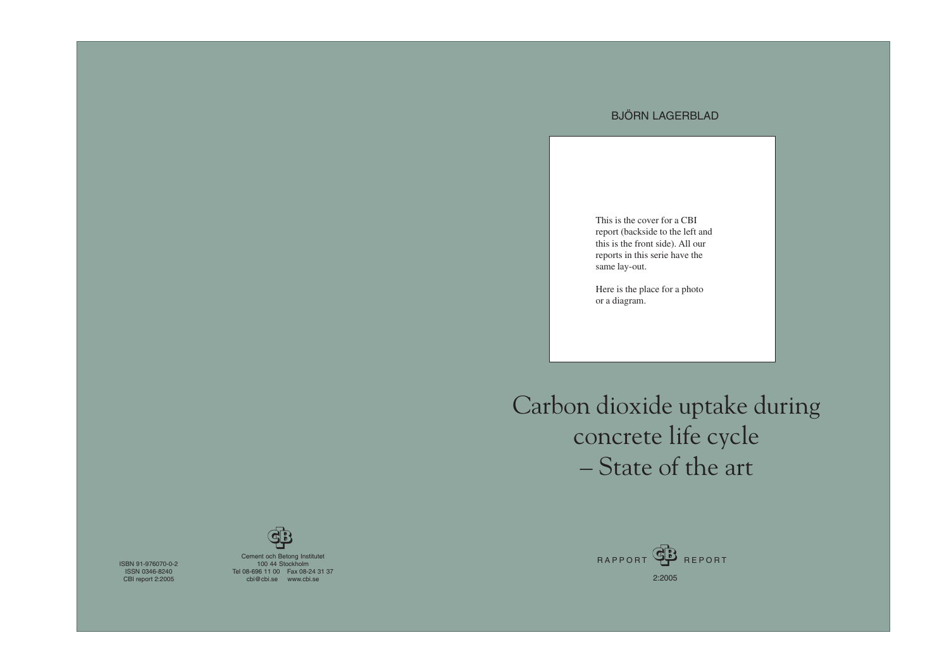ISBN 91-976070-0-2 ISSN 0346-8240 CBI report 2:2005

Cement och Betong Institutet 100 44 Stockholm Tel 08-696 11 00 Fax 08-24 31 37 cbi@cbi.se www.cbi.se

Carbon dioxide uptake during concrete life cycle – State of the art

### BJÖRN LAGERBLAD





This is the cover for a CBI report (backside to the left and this is the front side). All our reports in this serie have the same lay-out.

Here is the place for a photo or a diagram.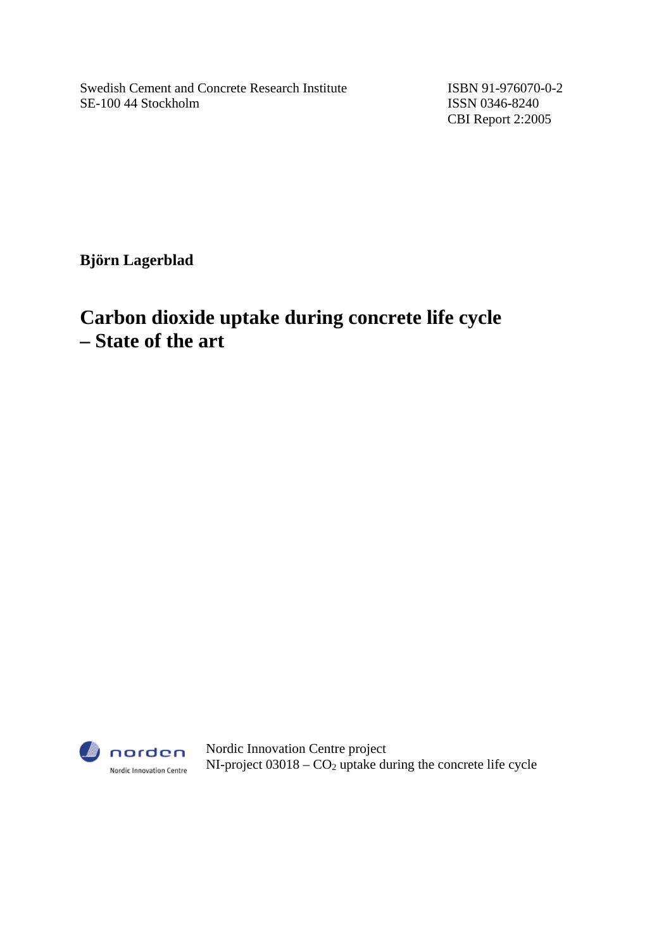Swedish Cement and Concrete Research Institute ISBN 91-976070-0-2 SE-100 44 Stockholm ISSN 0346-8240

CBI Report 2:2005

**Björn Lagerblad** 

# **Carbon dioxide uptake during concrete life cycle – State of the art**



Nordic Innovation Centre project NI-project  $03018 - CO<sub>2</sub>$  uptake during the concrete life cycle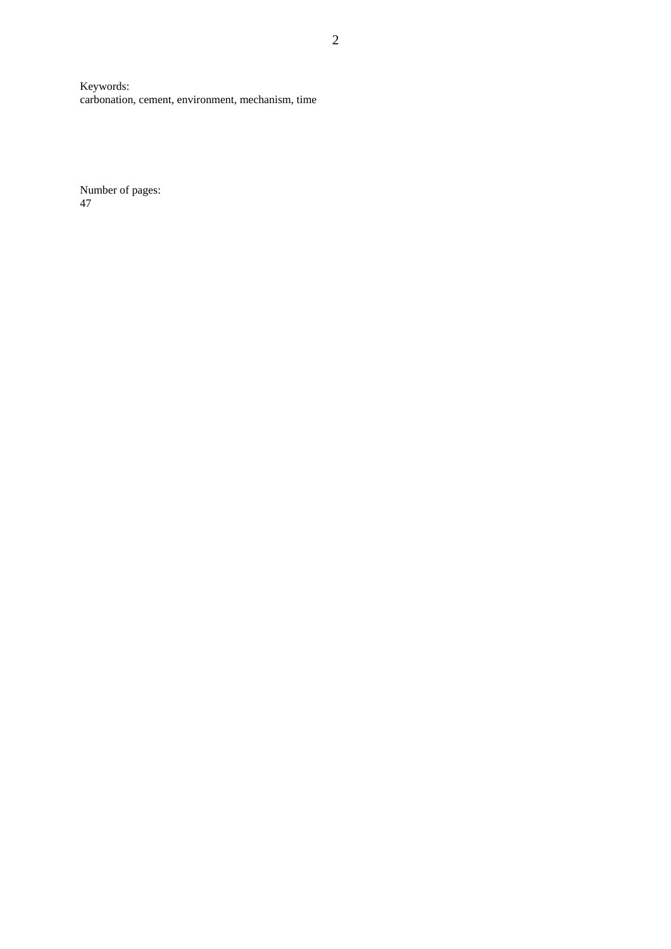Keywords: carbonation, cement, environment, mechanism, time

Number of pages: 47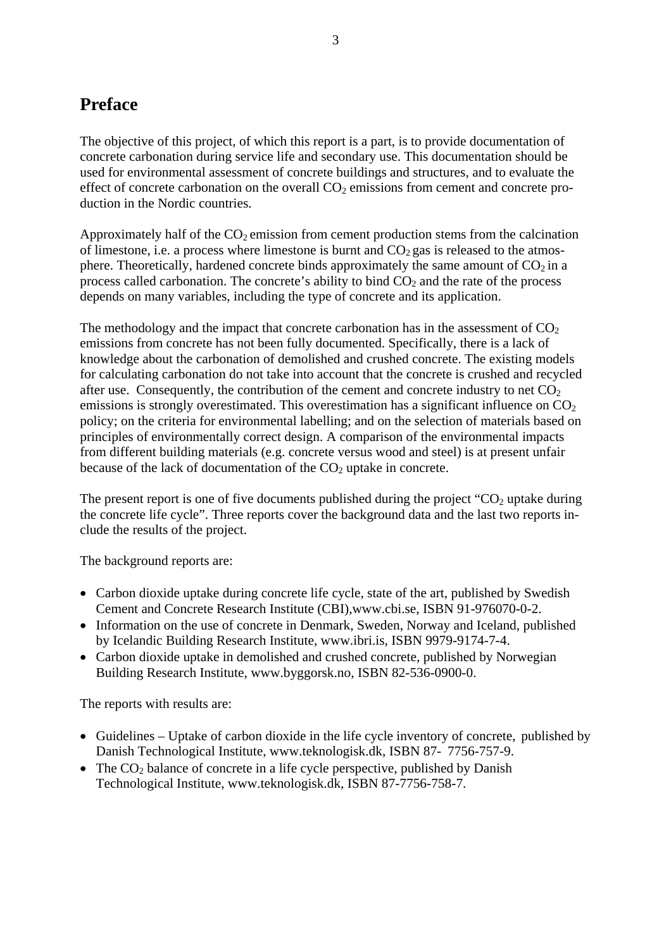# <span id="page-3-0"></span>**Preface**

The objective of this project, of which this report is a part, is to provide documentation of concrete carbonation during service life and secondary use. This documentation should be used for environmental assessment of concrete buildings and structures, and to evaluate the effect of concrete carbonation on the overall  $CO<sub>2</sub>$  emissions from cement and concrete production in the Nordic countries.

Approximately half of the  $CO<sub>2</sub>$  emission from cement production stems from the calcination of limestone, i.e. a process where limestone is burnt and  $CO<sub>2</sub>$  gas is released to the atmosphere. Theoretically, hardened concrete binds approximately the same amount of  $CO<sub>2</sub>$  in a process called carbonation. The concrete's ability to bind  $CO<sub>2</sub>$  and the rate of the process depends on many variables, including the type of concrete and its application.

The methodology and the impact that concrete carbonation has in the assessment of  $CO<sub>2</sub>$ emissions from concrete has not been fully documented. Specifically, there is a lack of knowledge about the carbonation of demolished and crushed concrete. The existing models for calculating carbonation do not take into account that the concrete is crushed and recycled after use. Consequently, the contribution of the cement and concrete industry to net  $CO<sub>2</sub>$ emissions is strongly overestimated. This overestimation has a significant influence on  $CO<sub>2</sub>$ policy; on the criteria for environmental labelling; and on the selection of materials based on principles of environmentally correct design. A comparison of the environmental impacts from different building materials (e.g. concrete versus wood and steel) is at present unfair because of the lack of documentation of the  $CO<sub>2</sub>$  uptake in concrete.

The present report is one of five documents published during the project " $CO<sub>2</sub>$  uptake during the concrete life cycle". Three reports cover the background data and the last two reports include the results of the project.

The background reports are:

- Carbon dioxide uptake during concrete life cycle, state of the art, published by Swedish Cement and Concrete Research Institute (CBI),www.cbi.se, ISBN 91-976070-0-2.
- Information on the use of concrete in Denmark, Sweden, Norway and Iceland, published by Icelandic Building Research Institute, www.ibri.is, ISBN 9979-9174-7-4.
- Carbon dioxide uptake in demolished and crushed concrete, published by Norwegian Building Research Institute, www.byggorsk.no, ISBN 82-536-0900-0.

The reports with results are:

- Guidelines Uptake of carbon dioxide in the life cycle inventory of concrete, published by Danish Technological Institute, www.teknologisk.dk, ISBN 87- 7756-757-9.
- The  $CO<sub>2</sub>$  balance of concrete in a life cycle perspective, published by Danish Technological Institute, www.teknologisk.dk, ISBN 87-7756-758-7.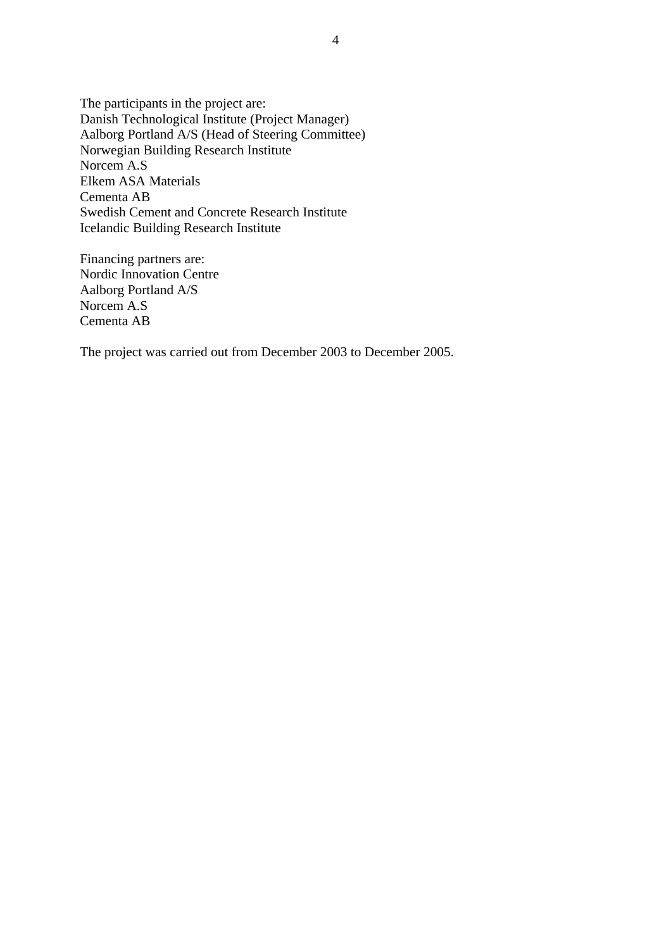The participants in the project are: Danish Technological Institute (Project Manager) Aalborg Portland A/S (Head of Steering Committee) Norwegian Building Research Institute Norcem A.S Elkem ASA Materials Cementa AB Swedish Cement and Concrete Research Institute Icelandic Building Research Institute

Financing partners are: Nordic Innovation Centre Aalborg Portland A/S Norcem A.S Cementa AB

The project was carried out from December 2003 to December 2005.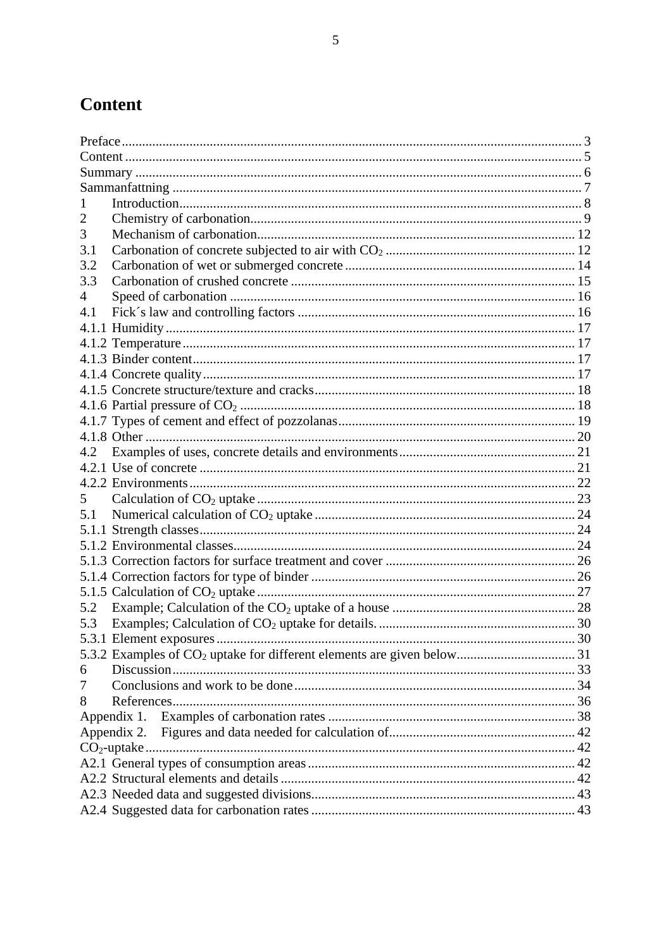# <span id="page-5-0"></span>**Content**

| 3   |             |  |  |
|-----|-------------|--|--|
| 3.1 |             |  |  |
| 3.2 |             |  |  |
| 3.3 |             |  |  |
| 4   |             |  |  |
| 4.1 |             |  |  |
|     |             |  |  |
|     |             |  |  |
|     |             |  |  |
|     |             |  |  |
|     |             |  |  |
|     |             |  |  |
|     |             |  |  |
|     |             |  |  |
| 4.2 |             |  |  |
|     |             |  |  |
|     |             |  |  |
| 5   |             |  |  |
| 5.1 |             |  |  |
|     |             |  |  |
|     |             |  |  |
|     |             |  |  |
|     |             |  |  |
|     |             |  |  |
| 5.2 |             |  |  |
| 5.3 |             |  |  |
|     |             |  |  |
|     |             |  |  |
| 6   |             |  |  |
| 7   |             |  |  |
| 8   |             |  |  |
|     | Appendix 1. |  |  |
|     | Appendix 2. |  |  |
|     |             |  |  |
|     |             |  |  |
|     |             |  |  |
|     |             |  |  |
|     |             |  |  |
|     |             |  |  |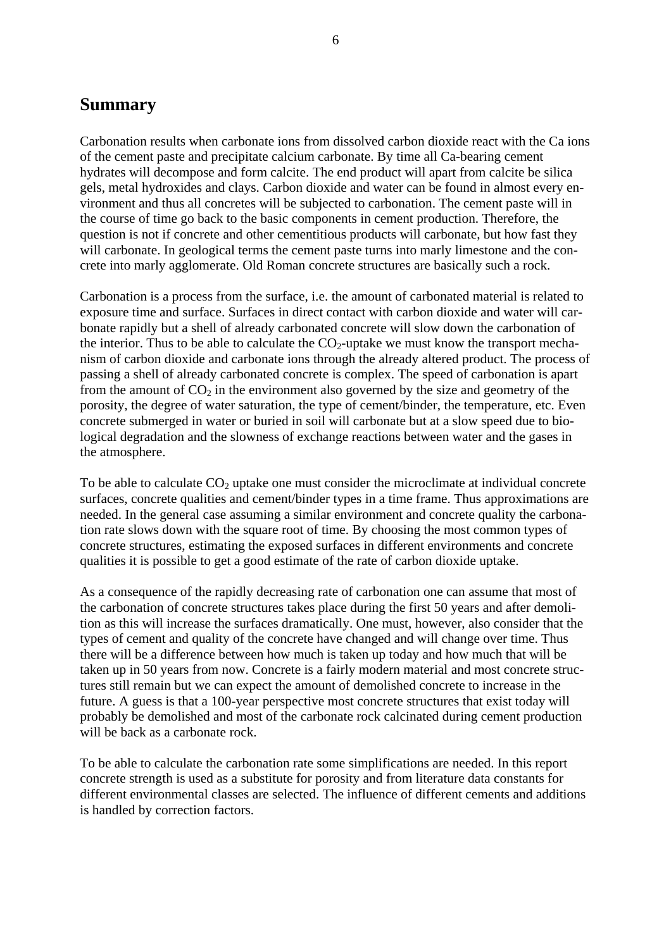### <span id="page-6-0"></span>**Summary**

Carbonation results when carbonate ions from dissolved carbon dioxide react with the Ca ions of the cement paste and precipitate calcium carbonate. By time all Ca-bearing cement hydrates will decompose and form calcite. The end product will apart from calcite be silica gels, metal hydroxides and clays. Carbon dioxide and water can be found in almost every environment and thus all concretes will be subjected to carbonation. The cement paste will in the course of time go back to the basic components in cement production. Therefore, the question is not if concrete and other cementitious products will carbonate, but how fast they will carbonate. In geological terms the cement paste turns into marly limestone and the concrete into marly agglomerate. Old Roman concrete structures are basically such a rock.

Carbonation is a process from the surface, i.e. the amount of carbonated material is related to exposure time and surface. Surfaces in direct contact with carbon dioxide and water will carbonate rapidly but a shell of already carbonated concrete will slow down the carbonation of the interior. Thus to be able to calculate the  $CO<sub>2</sub>$ -uptake we must know the transport mechanism of carbon dioxide and carbonate ions through the already altered product. The process of passing a shell of already carbonated concrete is complex. The speed of carbonation is apart from the amount of  $CO<sub>2</sub>$  in the environment also governed by the size and geometry of the porosity, the degree of water saturation, the type of cement/binder, the temperature, etc. Even concrete submerged in water or buried in soil will carbonate but at a slow speed due to biological degradation and the slowness of exchange reactions between water and the gases in the atmosphere.

To be able to calculate  $CO<sub>2</sub>$  uptake one must consider the microclimate at individual concrete surfaces, concrete qualities and cement/binder types in a time frame. Thus approximations are needed. In the general case assuming a similar environment and concrete quality the carbonation rate slows down with the square root of time. By choosing the most common types of concrete structures, estimating the exposed surfaces in different environments and concrete qualities it is possible to get a good estimate of the rate of carbon dioxide uptake.

As a consequence of the rapidly decreasing rate of carbonation one can assume that most of the carbonation of concrete structures takes place during the first 50 years and after demolition as this will increase the surfaces dramatically. One must, however, also consider that the types of cement and quality of the concrete have changed and will change over time. Thus there will be a difference between how much is taken up today and how much that will be taken up in 50 years from now. Concrete is a fairly modern material and most concrete structures still remain but we can expect the amount of demolished concrete to increase in the future. A guess is that a 100-year perspective most concrete structures that exist today will probably be demolished and most of the carbonate rock calcinated during cement production will be back as a carbonate rock.

To be able to calculate the carbonation rate some simplifications are needed. In this report concrete strength is used as a substitute for porosity and from literature data constants for different environmental classes are selected. The influence of different cements and additions is handled by correction factors.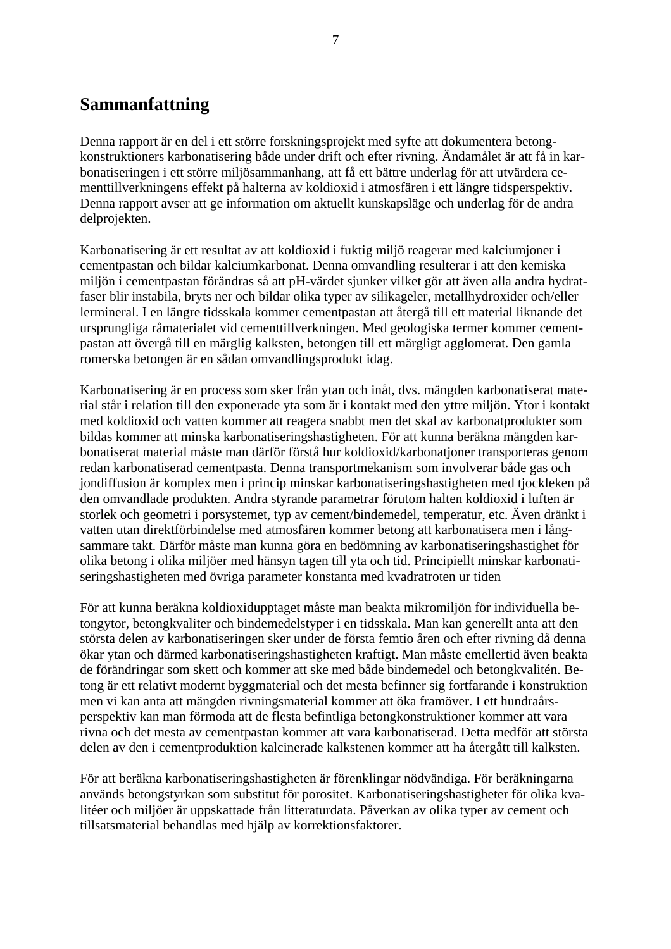### <span id="page-7-0"></span>**Sammanfattning**

Denna rapport är en del i ett större forskningsprojekt med syfte att dokumentera betongkonstruktioners karbonatisering både under drift och efter rivning. Ändamålet är att få in karbonatiseringen i ett större miljösammanhang, att få ett bättre underlag för att utvärdera cementtillverkningens effekt på halterna av koldioxid i atmosfären i ett längre tidsperspektiv. Denna rapport avser att ge information om aktuellt kunskapsläge och underlag för de andra delprojekten.

Karbonatisering är ett resultat av att koldioxid i fuktig miljö reagerar med kalciumjoner i cementpastan och bildar kalciumkarbonat. Denna omvandling resulterar i att den kemiska miljön i cementpastan förändras så att pH-värdet sjunker vilket gör att även alla andra hydratfaser blir instabila, bryts ner och bildar olika typer av silikageler, metallhydroxider och/eller lermineral. I en längre tidsskala kommer cementpastan att återgå till ett material liknande det ursprungliga råmaterialet vid cementtillverkningen. Med geologiska termer kommer cementpastan att övergå till en märglig kalksten, betongen till ett märgligt agglomerat. Den gamla romerska betongen är en sådan omvandlingsprodukt idag.

Karbonatisering är en process som sker från ytan och inåt, dvs. mängden karbonatiserat material står i relation till den exponerade yta som är i kontakt med den yttre miljön. Ytor i kontakt med koldioxid och vatten kommer att reagera snabbt men det skal av karbonatprodukter som bildas kommer att minska karbonatiseringshastigheten. För att kunna beräkna mängden karbonatiserat material måste man därför förstå hur koldioxid/karbonatjoner transporteras genom redan karbonatiserad cementpasta. Denna transportmekanism som involverar både gas och jondiffusion är komplex men i princip minskar karbonatiseringshastigheten med tjockleken på den omvandlade produkten. Andra styrande parametrar förutom halten koldioxid i luften är storlek och geometri i porsystemet, typ av cement/bindemedel, temperatur, etc. Även dränkt i vatten utan direktförbindelse med atmosfären kommer betong att karbonatisera men i långsammare takt. Därför måste man kunna göra en bedömning av karbonatiseringshastighet för olika betong i olika miljöer med hänsyn tagen till yta och tid. Principiellt minskar karbonatiseringshastigheten med övriga parameter konstanta med kvadratroten ur tiden

För att kunna beräkna koldioxidupptaget måste man beakta mikromiljön för individuella betongytor, betongkvaliter och bindemedelstyper i en tidsskala. Man kan generellt anta att den största delen av karbonatiseringen sker under de första femtio åren och efter rivning då denna ökar ytan och därmed karbonatiseringshastigheten kraftigt. Man måste emellertid även beakta de förändringar som skett och kommer att ske med både bindemedel och betongkvalitén. Betong är ett relativt modernt byggmaterial och det mesta befinner sig fortfarande i konstruktion men vi kan anta att mängden rivningsmaterial kommer att öka framöver. I ett hundraårsperspektiv kan man förmoda att de flesta befintliga betongkonstruktioner kommer att vara rivna och det mesta av cementpastan kommer att vara karbonatiserad. Detta medför att största delen av den i cementproduktion kalcinerade kalkstenen kommer att ha återgått till kalksten.

För att beräkna karbonatiseringshastigheten är förenklingar nödvändiga. För beräkningarna används betongstyrkan som substitut för porositet. Karbonatiseringshastigheter för olika kvalitéer och miljöer är uppskattade från litteraturdata. Påverkan av olika typer av cement och tillsatsmaterial behandlas med hjälp av korrektionsfaktorer.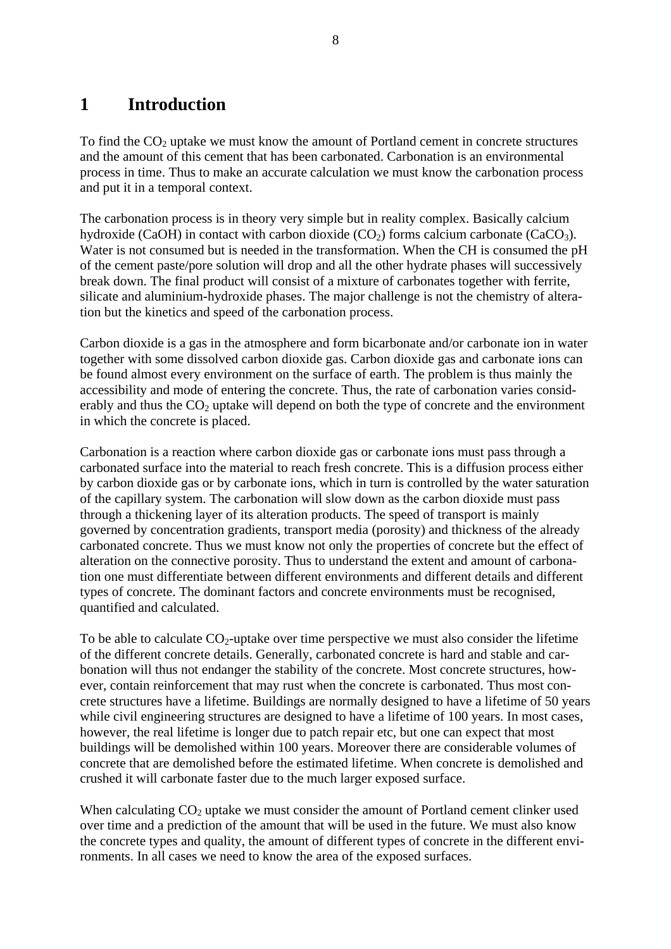# <span id="page-8-0"></span>**1 Introduction**

To find the  $CO<sub>2</sub>$  uptake we must know the amount of Portland cement in concrete structures and the amount of this cement that has been carbonated. Carbonation is an environmental process in time. Thus to make an accurate calculation we must know the carbonation process and put it in a temporal context.

The carbonation process is in theory very simple but in reality complex. Basically calcium hydroxide (CaOH) in contact with carbon dioxide  $(CO_2)$  forms calcium carbonate  $(CaCO_3)$ . Water is not consumed but is needed in the transformation. When the CH is consumed the pH of the cement paste/pore solution will drop and all the other hydrate phases will successively break down. The final product will consist of a mixture of carbonates together with ferrite, silicate and aluminium-hydroxide phases. The major challenge is not the chemistry of alteration but the kinetics and speed of the carbonation process.

Carbon dioxide is a gas in the atmosphere and form bicarbonate and/or carbonate ion in water together with some dissolved carbon dioxide gas. Carbon dioxide gas and carbonate ions can be found almost every environment on the surface of earth. The problem is thus mainly the accessibility and mode of entering the concrete. Thus, the rate of carbonation varies considerably and thus the  $CO<sub>2</sub>$  uptake will depend on both the type of concrete and the environment in which the concrete is placed.

Carbonation is a reaction where carbon dioxide gas or carbonate ions must pass through a carbonated surface into the material to reach fresh concrete. This is a diffusion process either by carbon dioxide gas or by carbonate ions, which in turn is controlled by the water saturation of the capillary system. The carbonation will slow down as the carbon dioxide must pass through a thickening layer of its alteration products. The speed of transport is mainly governed by concentration gradients, transport media (porosity) and thickness of the already carbonated concrete. Thus we must know not only the properties of concrete but the effect of alteration on the connective porosity. Thus to understand the extent and amount of carbonation one must differentiate between different environments and different details and different types of concrete. The dominant factors and concrete environments must be recognised, quantified and calculated.

To be able to calculate  $CO_2$ -uptake over time perspective we must also consider the lifetime of the different concrete details. Generally, carbonated concrete is hard and stable and carbonation will thus not endanger the stability of the concrete. Most concrete structures, however, contain reinforcement that may rust when the concrete is carbonated. Thus most concrete structures have a lifetime. Buildings are normally designed to have a lifetime of 50 years while civil engineering structures are designed to have a lifetime of 100 years. In most cases, however, the real lifetime is longer due to patch repair etc, but one can expect that most buildings will be demolished within 100 years. Moreover there are considerable volumes of concrete that are demolished before the estimated lifetime. When concrete is demolished and crushed it will carbonate faster due to the much larger exposed surface.

When calculating  $CO<sub>2</sub>$  uptake we must consider the amount of Portland cement clinker used over time and a prediction of the amount that will be used in the future. We must also know the concrete types and quality, the amount of different types of concrete in the different environments. In all cases we need to know the area of the exposed surfaces.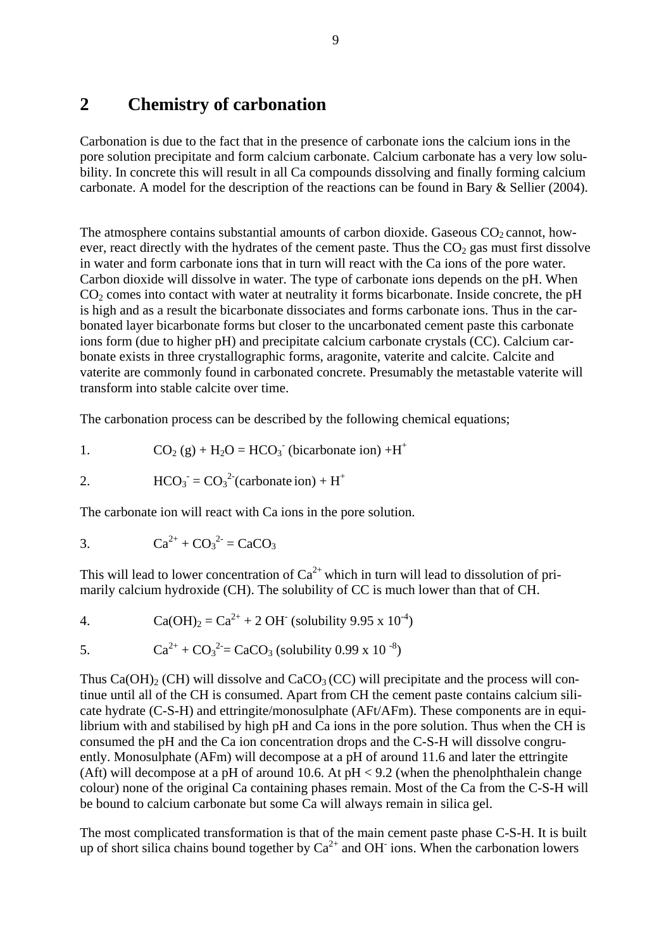### <span id="page-9-0"></span>**2 Chemistry of carbonation**

Carbonation is due to the fact that in the presence of carbonate ions the calcium ions in the pore solution precipitate and form calcium carbonate. Calcium carbonate has a very low solubility. In concrete this will result in all Ca compounds dissolving and finally forming calcium carbonate. A model for the description of the reactions can be found in Bary & Sellier (2004).

The atmosphere contains substantial amounts of carbon dioxide. Gaseous  $CO<sub>2</sub>$  cannot, however, react directly with the hydrates of the cement paste. Thus the  $CO<sub>2</sub>$  gas must first dissolve in water and form carbonate ions that in turn will react with the Ca ions of the pore water. Carbon dioxide will dissolve in water. The type of carbonate ions depends on the pH. When  $CO<sub>2</sub>$  comes into contact with water at neutrality it forms bicarbonate. Inside concrete, the pH is high and as a result the bicarbonate dissociates and forms carbonate ions. Thus in the carbonated layer bicarbonate forms but closer to the uncarbonated cement paste this carbonate ions form (due to higher pH) and precipitate calcium carbonate crystals (CC). Calcium carbonate exists in three crystallographic forms, aragonite, vaterite and calcite. Calcite and vaterite are commonly found in carbonated concrete. Presumably the metastable vaterite will transform into stable calcite over time.

The carbonation process can be described by the following chemical equations;

1. CO2 (g) + H2O = HCO3 - (bicarbonate ion) +H+

$$
2. \qquad \qquad \text{HCO}_3 = \text{CO}_3{}^2 \text{(carbonate ion)} + \text{H}^+
$$

The carbonate ion will react with Ca ions in the pore solution.

3. 
$$
Ca^{2+} + CO_3^{2-} = CaCO_3
$$

This will lead to lower concentration of  $Ca^{2+}$  which in turn will lead to dissolution of primarily calcium hydroxide (CH). The solubility of CC is much lower than that of CH.

4. Ca(OH)2 = Ca2+ + 2 OH- (solubility 9.95 x 10-4)

5. 
$$
Ca^{2+} + CO_3^2 = CaCO_3 \text{ (solubility 0.99 x 10}^{-8})
$$

Thus  $Ca(OH)_2$  (CH) will dissolve and  $CaCO_3$  (CC) will precipitate and the process will continue until all of the CH is consumed. Apart from CH the cement paste contains calcium silicate hydrate (C-S-H) and ettringite/monosulphate (AFt/AFm). These components are in equilibrium with and stabilised by high pH and Ca ions in the pore solution. Thus when the CH is consumed the pH and the Ca ion concentration drops and the C-S-H will dissolve congruently. Monosulphate (AFm) will decompose at a pH of around 11.6 and later the ettringite (Aft) will decompose at a pH of around 10.6. At  $pH < 9.2$  (when the phenolphthalein change colour) none of the original Ca containing phases remain. Most of the Ca from the C-S-H will be bound to calcium carbonate but some Ca will always remain in silica gel.

The most complicated transformation is that of the main cement paste phase C-S-H. It is built up of short silica chains bound together by  $Ca^{2+}$  and OH ions. When the carbonation lowers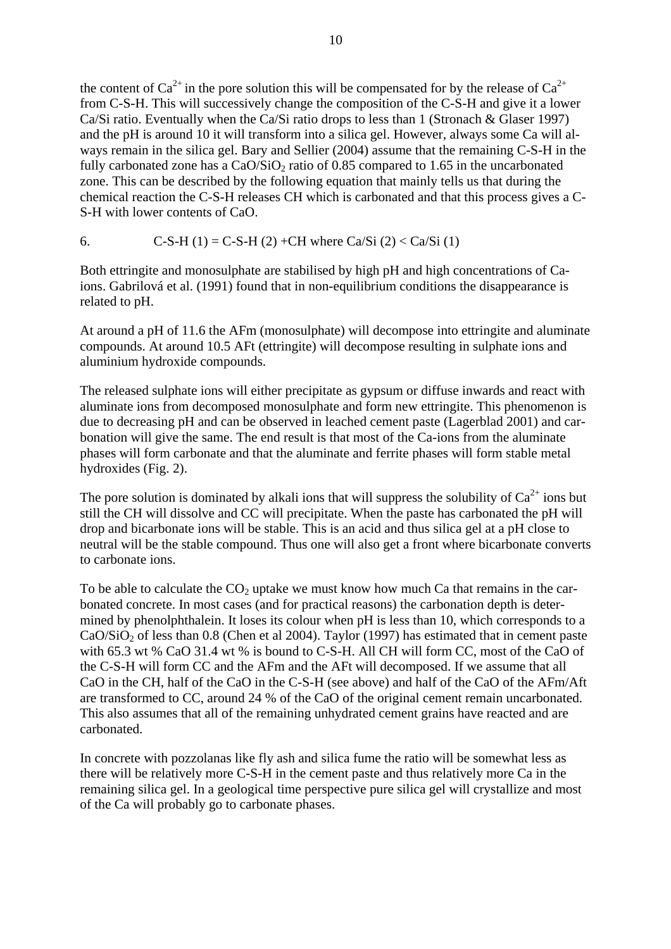the content of  $Ca^{2+}$  in the pore solution this will be compensated for by the release of  $Ca^{2+}$ from C-S-H. This will successively change the composition of the C-S-H and give it a lower Ca/Si ratio. Eventually when the Ca/Si ratio drops to less than 1 (Stronach & Glaser 1997) and the pH is around 10 it will transform into a silica gel. However, always some Ca will always remain in the silica gel. Bary and Sellier (2004) assume that the remaining C-S-H in the fully carbonated zone has a  $CaO/SiO<sub>2</sub>$  ratio of 0.85 compared to 1.65 in the uncarbonated zone. This can be described by the following equation that mainly tells us that during the chemical reaction the C-S-H releases CH which is carbonated and that this process gives a C-S-H with lower contents of CaO.

6. C-S-H (1) = C-S-H (2) +CH where Ca/Si (2) < Ca/Si (1)

Both ettringite and monosulphate are stabilised by high pH and high concentrations of Caions. Gabrilová et al. (1991) found that in non-equilibrium conditions the disappearance is related to pH.

At around a pH of 11.6 the AFm (monosulphate) will decompose into ettringite and aluminate compounds. At around 10.5 AFt (ettringite) will decompose resulting in sulphate ions and aluminium hydroxide compounds.

The released sulphate ions will either precipitate as gypsum or diffuse inwards and react with aluminate ions from decomposed monosulphate and form new ettringite. This phenomenon is due to decreasing pH and can be observed in leached cement paste (Lagerblad 2001) and carbonation will give the same. The end result is that most of the Ca-ions from the aluminate phases will form carbonate and that the aluminate and ferrite phases will form stable metal hydroxides (Fig. 2).

The pore solution is dominated by alkali ions that will suppress the solubility of  $Ca^{2+}$  ions but still the CH will dissolve and CC will precipitate. When the paste has carbonated the pH will drop and bicarbonate ions will be stable. This is an acid and thus silica gel at a pH close to neutral will be the stable compound. Thus one will also get a front where bicarbonate converts to carbonate ions.

To be able to calculate the  $CO<sub>2</sub>$  uptake we must know how much Ca that remains in the carbonated concrete. In most cases (and for practical reasons) the carbonation depth is determined by phenolphthalein. It loses its colour when pH is less than 10, which corresponds to a  $CaO/SiO<sub>2</sub>$  of less than 0.8 (Chen et al 2004). Taylor (1997) has estimated that in cement paste with 65.3 wt % CaO 31.4 wt % is bound to C-S-H. All CH will form CC, most of the CaO of the C-S-H will form CC and the AFm and the AFt will decomposed. If we assume that all CaO in the CH, half of the CaO in the C-S-H (see above) and half of the CaO of the AFm/Aft are transformed to CC, around 24 % of the CaO of the original cement remain uncarbonated. This also assumes that all of the remaining unhydrated cement grains have reacted and are carbonated.

In concrete with pozzolanas like fly ash and silica fume the ratio will be somewhat less as there will be relatively more C-S-H in the cement paste and thus relatively more Ca in the remaining silica gel. In a geological time perspective pure silica gel will crystallize and most of the Ca will probably go to carbonate phases.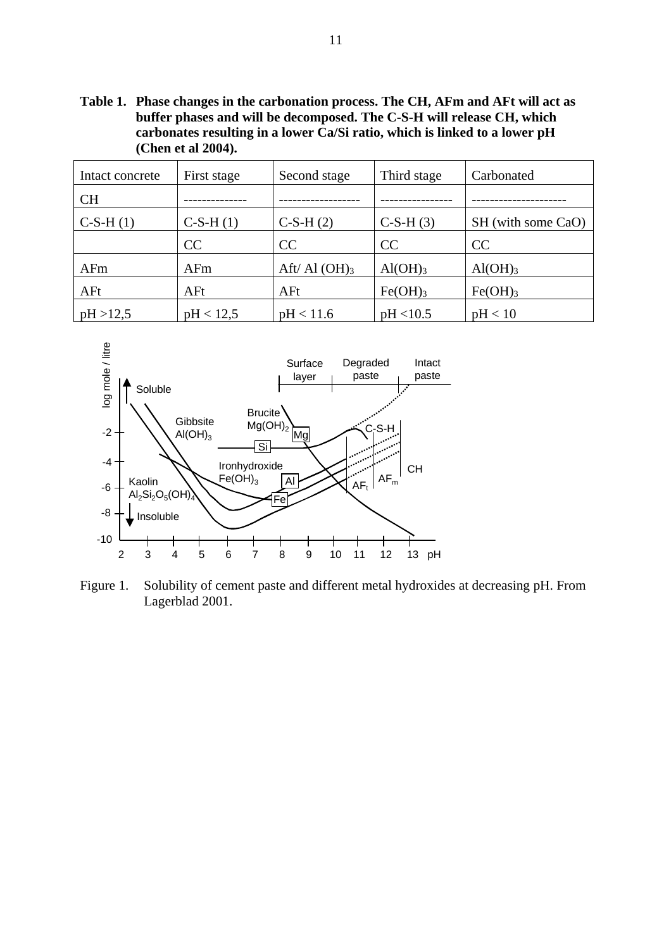**Table 1. Phase changes in the carbonation process. The CH, AFm and AFt will act as buffer phases and will be decomposed. The C-S-H will release CH, which carbonates resulting in a lower Ca/Si ratio, which is linked to a lower pH (Chen et al 2004).** 

| Intact concrete | First stage | Second stage     | Third stage         | Carbonated          |
|-----------------|-------------|------------------|---------------------|---------------------|
| <b>CH</b>       |             |                  |                     |                     |
| $C-S-H(1)$      | $C-S-H(1)$  | $C-S-H(2)$       | $C-S-H(3)$          | SH (with some CaO)  |
|                 | CC          | CC               | CC                  | <b>CC</b>           |
| AFm             | AFm         | Aft/ Al $(OH)_3$ | Al(OH) <sub>3</sub> | Al(OH) <sub>3</sub> |
| AFt             | AFt         | AFt              | Fe(OH) <sub>3</sub> | Fe(OH) <sub>3</sub> |
| pH > 12,5       | pH < 12.5   | pH < 11.6        | pH < 10.5           | pH < 10             |



Figure 1. Solubility of cement paste and different metal hydroxides at decreasing pH. From Lagerblad 2001.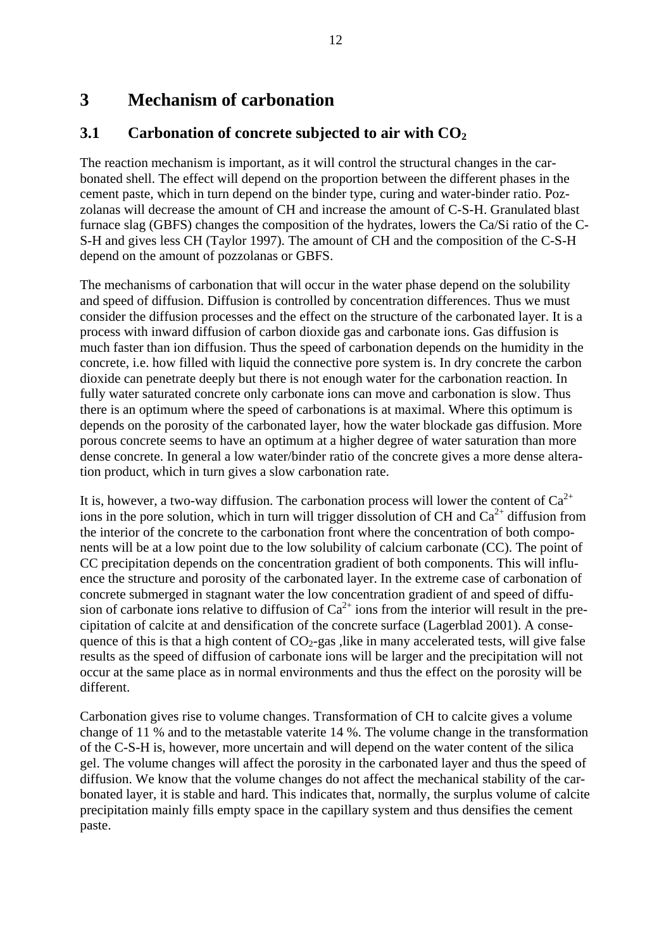### <span id="page-12-0"></span>**3 Mechanism of carbonation**

### **3.1** Carbonation of concrete subjected to air with  $CO<sub>2</sub>$

The reaction mechanism is important, as it will control the structural changes in the carbonated shell. The effect will depend on the proportion between the different phases in the cement paste, which in turn depend on the binder type, curing and water-binder ratio. Pozzolanas will decrease the amount of CH and increase the amount of C-S-H. Granulated blast furnace slag (GBFS) changes the composition of the hydrates, lowers the Ca/Si ratio of the C-S-H and gives less CH (Taylor 1997). The amount of CH and the composition of the C-S-H depend on the amount of pozzolanas or GBFS.

The mechanisms of carbonation that will occur in the water phase depend on the solubility and speed of diffusion. Diffusion is controlled by concentration differences. Thus we must consider the diffusion processes and the effect on the structure of the carbonated layer. It is a process with inward diffusion of carbon dioxide gas and carbonate ions. Gas diffusion is much faster than ion diffusion. Thus the speed of carbonation depends on the humidity in the concrete, i.e. how filled with liquid the connective pore system is. In dry concrete the carbon dioxide can penetrate deeply but there is not enough water for the carbonation reaction. In fully water saturated concrete only carbonate ions can move and carbonation is slow. Thus there is an optimum where the speed of carbonations is at maximal. Where this optimum is depends on the porosity of the carbonated layer, how the water blockade gas diffusion. More porous concrete seems to have an optimum at a higher degree of water saturation than more dense concrete. In general a low water/binder ratio of the concrete gives a more dense alteration product, which in turn gives a slow carbonation rate.

It is, however, a two-way diffusion. The carbonation process will lower the content of  $Ca^{2+}$ ions in the pore solution, which in turn will trigger dissolution of CH and  $Ca<sup>2+</sup>$  diffusion from the interior of the concrete to the carbonation front where the concentration of both components will be at a low point due to the low solubility of calcium carbonate (CC). The point of CC precipitation depends on the concentration gradient of both components. This will influence the structure and porosity of the carbonated layer. In the extreme case of carbonation of concrete submerged in stagnant water the low concentration gradient of and speed of diffusion of carbonate ions relative to diffusion of  $Ca^{2+}$  ions from the interior will result in the precipitation of calcite at and densification of the concrete surface (Lagerblad 2001). A consequence of this is that a high content of  $CO<sub>2</sub>$ -gas , like in many accelerated tests, will give false results as the speed of diffusion of carbonate ions will be larger and the precipitation will not occur at the same place as in normal environments and thus the effect on the porosity will be different.

Carbonation gives rise to volume changes. Transformation of CH to calcite gives a volume change of 11 % and to the metastable vaterite 14 %. The volume change in the transformation of the C-S-H is, however, more uncertain and will depend on the water content of the silica gel. The volume changes will affect the porosity in the carbonated layer and thus the speed of diffusion. We know that the volume changes do not affect the mechanical stability of the carbonated layer, it is stable and hard. This indicates that, normally, the surplus volume of calcite precipitation mainly fills empty space in the capillary system and thus densifies the cement paste.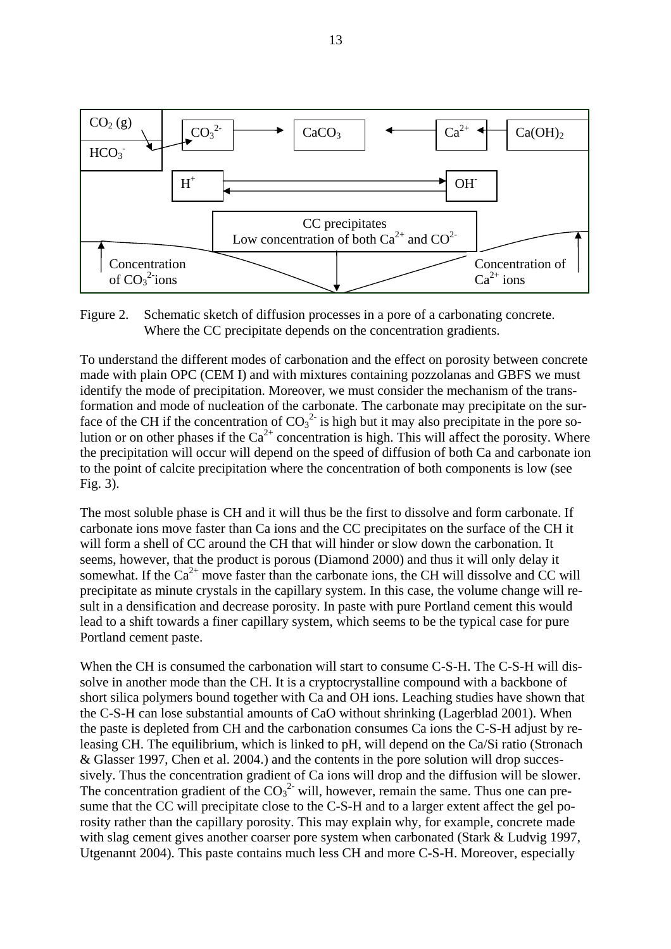

Figure 2. Schematic sketch of diffusion processes in a pore of a carbonating concrete. Where the CC precipitate depends on the concentration gradients.

To understand the different modes of carbonation and the effect on porosity between concrete made with plain OPC (CEM I) and with mixtures containing pozzolanas and GBFS we must identify the mode of precipitation. Moreover, we must consider the mechanism of the transformation and mode of nucleation of the carbonate. The carbonate may precipitate on the surface of the CH if the concentration of  $CO_3^2$  is high but it may also precipitate in the pore solution or on other phases if the  $Ca^{2+}$  concentration is high. This will affect the porosity. Where the precipitation will occur will depend on the speed of diffusion of both Ca and carbonate ion to the point of calcite precipitation where the concentration of both components is low (see Fig. 3).

The most soluble phase is CH and it will thus be the first to dissolve and form carbonate. If carbonate ions move faster than Ca ions and the CC precipitates on the surface of the CH it will form a shell of CC around the CH that will hinder or slow down the carbonation. It seems, however, that the product is porous (Diamond 2000) and thus it will only delay it somewhat. If the  $Ca^{2+}$  move faster than the carbonate ions, the CH will dissolve and CC will precipitate as minute crystals in the capillary system. In this case, the volume change will result in a densification and decrease porosity. In paste with pure Portland cement this would lead to a shift towards a finer capillary system, which seems to be the typical case for pure Portland cement paste.

When the CH is consumed the carbonation will start to consume C-S-H. The C-S-H will dissolve in another mode than the CH. It is a cryptocrystalline compound with a backbone of short silica polymers bound together with Ca and OH ions. Leaching studies have shown that the C-S-H can lose substantial amounts of CaO without shrinking (Lagerblad 2001). When the paste is depleted from CH and the carbonation consumes Ca ions the C-S-H adjust by releasing CH. The equilibrium, which is linked to pH, will depend on the Ca/Si ratio (Stronach & Glasser 1997, Chen et al. 2004.) and the contents in the pore solution will drop successively. Thus the concentration gradient of Ca ions will drop and the diffusion will be slower. The concentration gradient of the  $CO<sub>3</sub><sup>2</sup>$  will, however, remain the same. Thus one can presume that the CC will precipitate close to the C-S-H and to a larger extent affect the gel porosity rather than the capillary porosity. This may explain why, for example, concrete made with slag cement gives another coarser pore system when carbonated (Stark & Ludvig 1997, Utgenannt 2004). This paste contains much less CH and more C-S-H. Moreover, especially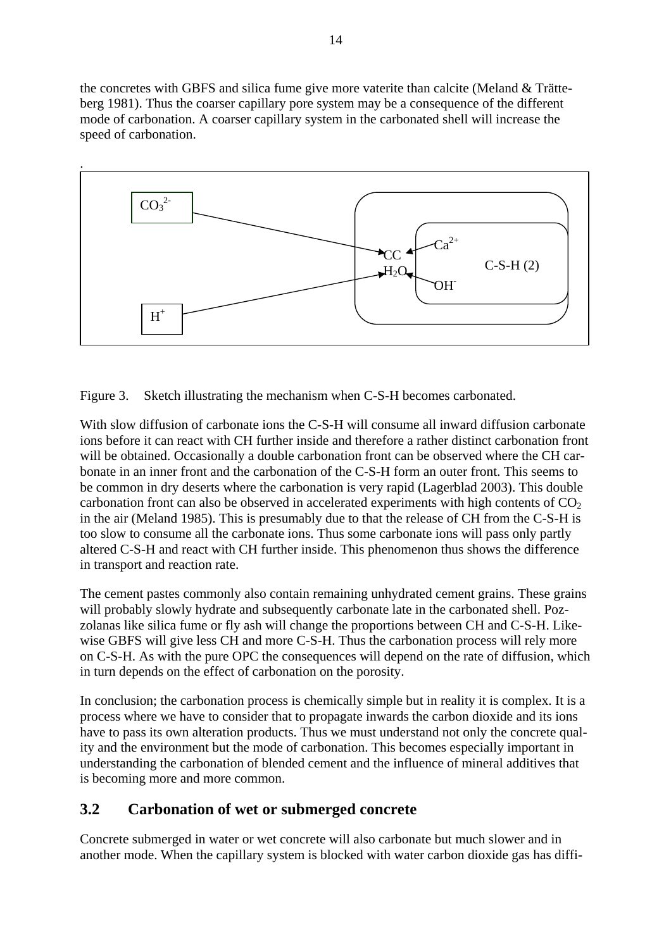<span id="page-14-0"></span>the concretes with GBFS and silica fume give more vaterite than calcite (Meland & Trätteberg 1981). Thus the coarser capillary pore system may be a consequence of the different mode of carbonation. A coarser capillary system in the carbonated shell will increase the speed of carbonation.



Figure 3. Sketch illustrating the mechanism when C-S-H becomes carbonated.

With slow diffusion of carbonate ions the C-S-H will consume all inward diffusion carbonate ions before it can react with CH further inside and therefore a rather distinct carbonation front will be obtained. Occasionally a double carbonation front can be observed where the CH carbonate in an inner front and the carbonation of the C-S-H form an outer front. This seems to be common in dry deserts where the carbonation is very rapid (Lagerblad 2003). This double carbonation front can also be observed in accelerated experiments with high contents of  $CO<sub>2</sub>$ in the air (Meland 1985). This is presumably due to that the release of CH from the C-S-H is too slow to consume all the carbonate ions. Thus some carbonate ions will pass only partly altered C-S-H and react with CH further inside. This phenomenon thus shows the difference in transport and reaction rate.

The cement pastes commonly also contain remaining unhydrated cement grains. These grains will probably slowly hydrate and subsequently carbonate late in the carbonated shell. Pozzolanas like silica fume or fly ash will change the proportions between CH and C-S-H. Likewise GBFS will give less CH and more C-S-H. Thus the carbonation process will rely more on C-S-H. As with the pure OPC the consequences will depend on the rate of diffusion, which in turn depends on the effect of carbonation on the porosity.

In conclusion; the carbonation process is chemically simple but in reality it is complex. It is a process where we have to consider that to propagate inwards the carbon dioxide and its ions have to pass its own alteration products. Thus we must understand not only the concrete quality and the environment but the mode of carbonation. This becomes especially important in understanding the carbonation of blended cement and the influence of mineral additives that is becoming more and more common.

### **3.2 Carbonation of wet or submerged concrete**

Concrete submerged in water or wet concrete will also carbonate but much slower and in another mode. When the capillary system is blocked with water carbon dioxide gas has diffi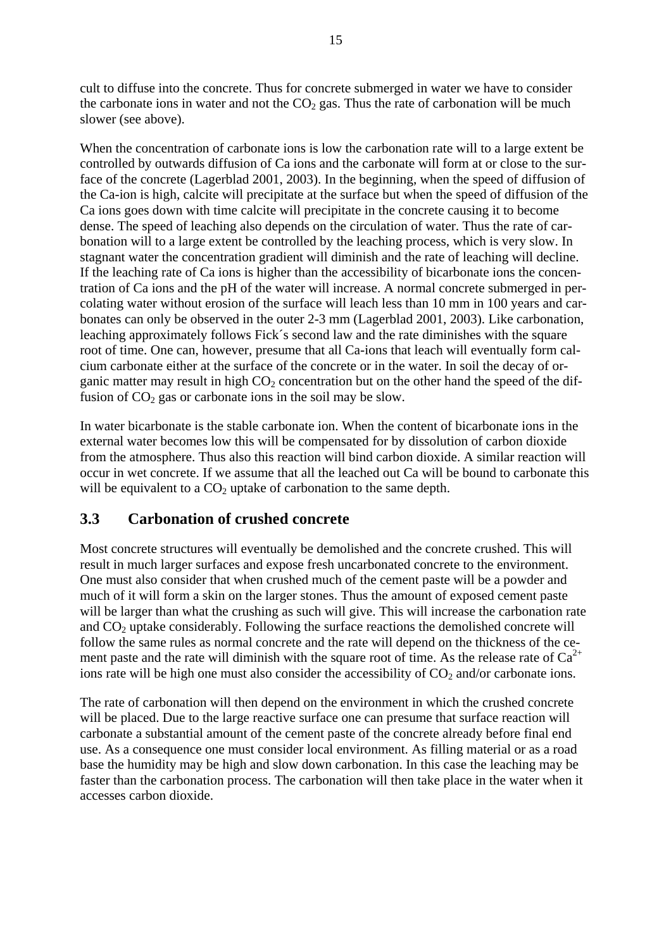<span id="page-15-0"></span>cult to diffuse into the concrete. Thus for concrete submerged in water we have to consider the carbonate ions in water and not the  $CO<sub>2</sub>$  gas. Thus the rate of carbonation will be much slower (see above).

When the concentration of carbonate ions is low the carbonation rate will to a large extent be controlled by outwards diffusion of Ca ions and the carbonate will form at or close to the surface of the concrete (Lagerblad 2001, 2003). In the beginning, when the speed of diffusion of the Ca-ion is high, calcite will precipitate at the surface but when the speed of diffusion of the Ca ions goes down with time calcite will precipitate in the concrete causing it to become dense. The speed of leaching also depends on the circulation of water. Thus the rate of carbonation will to a large extent be controlled by the leaching process, which is very slow. In stagnant water the concentration gradient will diminish and the rate of leaching will decline. If the leaching rate of Ca ions is higher than the accessibility of bicarbonate ions the concentration of Ca ions and the pH of the water will increase. A normal concrete submerged in percolating water without erosion of the surface will leach less than 10 mm in 100 years and carbonates can only be observed in the outer 2-3 mm (Lagerblad 2001, 2003). Like carbonation, leaching approximately follows Fick´s second law and the rate diminishes with the square root of time. One can, however, presume that all Ca-ions that leach will eventually form calcium carbonate either at the surface of the concrete or in the water. In soil the decay of organic matter may result in high  $CO<sub>2</sub>$  concentration but on the other hand the speed of the diffusion of  $CO<sub>2</sub>$  gas or carbonate ions in the soil may be slow.

In water bicarbonate is the stable carbonate ion. When the content of bicarbonate ions in the external water becomes low this will be compensated for by dissolution of carbon dioxide from the atmosphere. Thus also this reaction will bind carbon dioxide. A similar reaction will occur in wet concrete. If we assume that all the leached out Ca will be bound to carbonate this will be equivalent to a  $CO<sub>2</sub>$  uptake of carbonation to the same depth.

### **3.3 Carbonation of crushed concrete**

Most concrete structures will eventually be demolished and the concrete crushed. This will result in much larger surfaces and expose fresh uncarbonated concrete to the environment. One must also consider that when crushed much of the cement paste will be a powder and much of it will form a skin on the larger stones. Thus the amount of exposed cement paste will be larger than what the crushing as such will give. This will increase the carbonation rate and  $CO<sub>2</sub>$  uptake considerably. Following the surface reactions the demolished concrete will follow the same rules as normal concrete and the rate will depend on the thickness of the cement paste and the rate will diminish with the square root of time. As the release rate of  $Ca^{2+}$ ions rate will be high one must also consider the accessibility of  $CO<sub>2</sub>$  and/or carbonate ions.

The rate of carbonation will then depend on the environment in which the crushed concrete will be placed. Due to the large reactive surface one can presume that surface reaction will carbonate a substantial amount of the cement paste of the concrete already before final end use. As a consequence one must consider local environment. As filling material or as a road base the humidity may be high and slow down carbonation. In this case the leaching may be faster than the carbonation process. The carbonation will then take place in the water when it accesses carbon dioxide.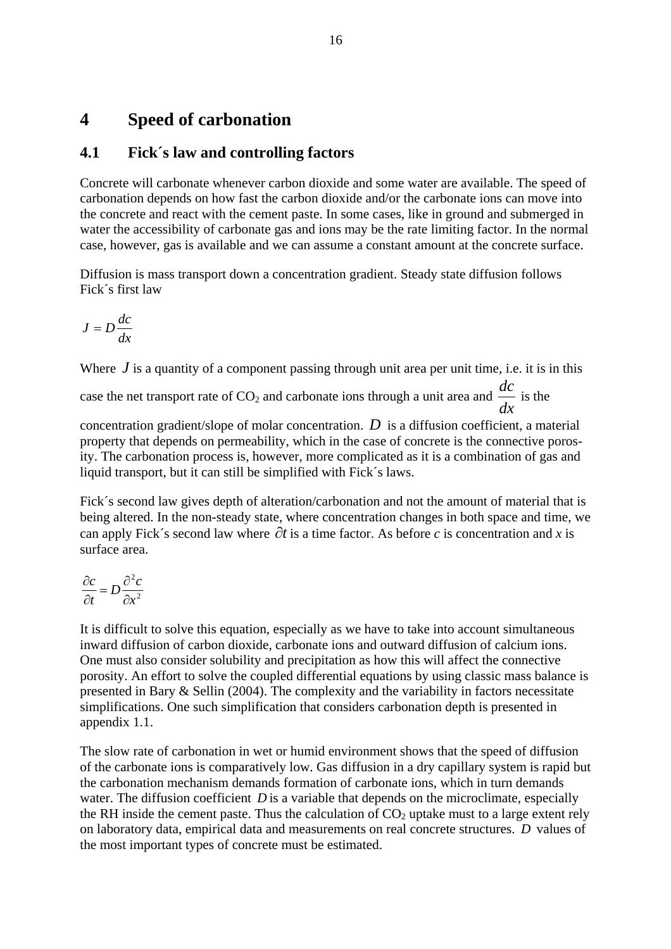### <span id="page-16-0"></span>**4 Speed of carbonation**

### **4.1 Fick´s law and controlling factors**

Concrete will carbonate whenever carbon dioxide and some water are available. The speed of carbonation depends on how fast the carbon dioxide and/or the carbonate ions can move into the concrete and react with the cement paste. In some cases, like in ground and submerged in water the accessibility of carbonate gas and ions may be the rate limiting factor. In the normal case, however, gas is available and we can assume a constant amount at the concrete surface.

Diffusion is mass transport down a concentration gradient. Steady state diffusion follows Fick´s first law

$$
J=D\frac{dc}{dx}
$$

Where *J* is a quantity of a component passing through unit area per unit time, i.e. it is in this

case the net transport rate of  $CO_2$  and carbonate ions through a unit area and  $\frac{dc}{dx}$ *dc* is the

concentration gradient/slope of molar concentration.  $D$  is a diffusion coefficient, a material property that depends on permeability, which in the case of concrete is the connective porosity. The carbonation process is, however, more complicated as it is a combination of gas and liquid transport, but it can still be simplified with Fick´s laws.

Fick´s second law gives depth of alteration/carbonation and not the amount of material that is being altered. In the non-steady state, where concentration changes in both space and time, we can apply Fick´s second law where ∂*t* is a time factor. As before *c* is concentration and *x* is surface area.

$$
\frac{\partial c}{\partial t} = D \frac{\partial^2 c}{\partial x^2}
$$

It is difficult to solve this equation, especially as we have to take into account simultaneous inward diffusion of carbon dioxide, carbonate ions and outward diffusion of calcium ions. One must also consider solubility and precipitation as how this will affect the connective porosity. An effort to solve the coupled differential equations by using classic mass balance is presented in Bary & Sellin (2004). The complexity and the variability in factors necessitate simplifications. One such simplification that considers carbonation depth is presented in appendix 1.1.

The slow rate of carbonation in wet or humid environment shows that the speed of diffusion of the carbonate ions is comparatively low. Gas diffusion in a dry capillary system is rapid but the carbonation mechanism demands formation of carbonate ions, which in turn demands water. The diffusion coefficient  $D$  is a variable that depends on the microclimate, especially the RH inside the cement paste. Thus the calculation of  $CO<sub>2</sub>$  uptake must to a large extent rely on laboratory data, empirical data and measurements on real concrete structures. *D* values of the most important types of concrete must be estimated.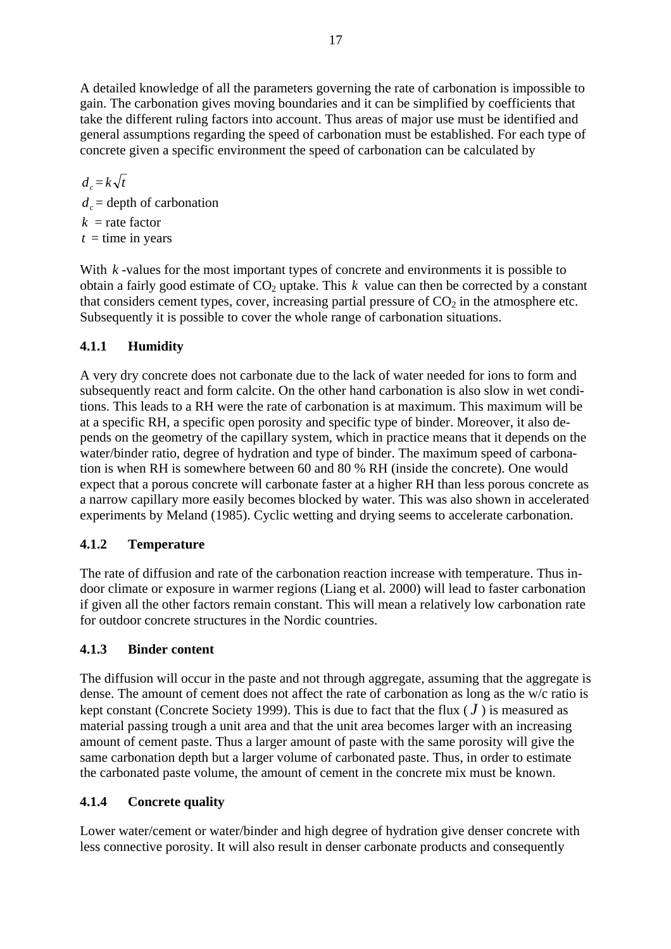<span id="page-17-0"></span>A detailed knowledge of all the parameters governing the rate of carbonation is impossible to gain. The carbonation gives moving boundaries and it can be simplified by coefficients that take the different ruling factors into account. Thus areas of major use must be identified and general assumptions regarding the speed of carbonation must be established. For each type of concrete given a specific environment the speed of carbonation can be calculated by

 $d = k\sqrt{t}$  $d<sub>c</sub> =$  depth of carbonation  $k =$ rate factor  $t =$  time in years

With  $k$ -values for the most important types of concrete and environments it is possible to obtain a fairly good estimate of  $CO<sub>2</sub>$  uptake. This  $k$  value can then be corrected by a constant that considers cement types, cover, increasing partial pressure of  $CO<sub>2</sub>$  in the atmosphere etc. Subsequently it is possible to cover the whole range of carbonation situations.

### **4.1.1 Humidity**

A very dry concrete does not carbonate due to the lack of water needed for ions to form and subsequently react and form calcite. On the other hand carbonation is also slow in wet conditions. This leads to a RH were the rate of carbonation is at maximum. This maximum will be at a specific RH, a specific open porosity and specific type of binder. Moreover, it also depends on the geometry of the capillary system, which in practice means that it depends on the water/binder ratio, degree of hydration and type of binder. The maximum speed of carbonation is when RH is somewhere between 60 and 80 % RH (inside the concrete). One would expect that a porous concrete will carbonate faster at a higher RH than less porous concrete as a narrow capillary more easily becomes blocked by water. This was also shown in accelerated experiments by Meland (1985). Cyclic wetting and drying seems to accelerate carbonation.

#### **4.1.2 Temperature**

The rate of diffusion and rate of the carbonation reaction increase with temperature. Thus indoor climate or exposure in warmer regions (Liang et al. 2000) will lead to faster carbonation if given all the other factors remain constant. This will mean a relatively low carbonation rate for outdoor concrete structures in the Nordic countries.

#### **4.1.3 Binder content**

The diffusion will occur in the paste and not through aggregate, assuming that the aggregate is dense. The amount of cement does not affect the rate of carbonation as long as the w/c ratio is kept constant (Concrete Society 1999). This is due to fact that the flux  $(J)$  is measured as material passing trough a unit area and that the unit area becomes larger with an increasing amount of cement paste. Thus a larger amount of paste with the same porosity will give the same carbonation depth but a larger volume of carbonated paste. Thus, in order to estimate the carbonated paste volume, the amount of cement in the concrete mix must be known.

#### **4.1.4 Concrete quality**

Lower water/cement or water/binder and high degree of hydration give denser concrete with less connective porosity. It will also result in denser carbonate products and consequently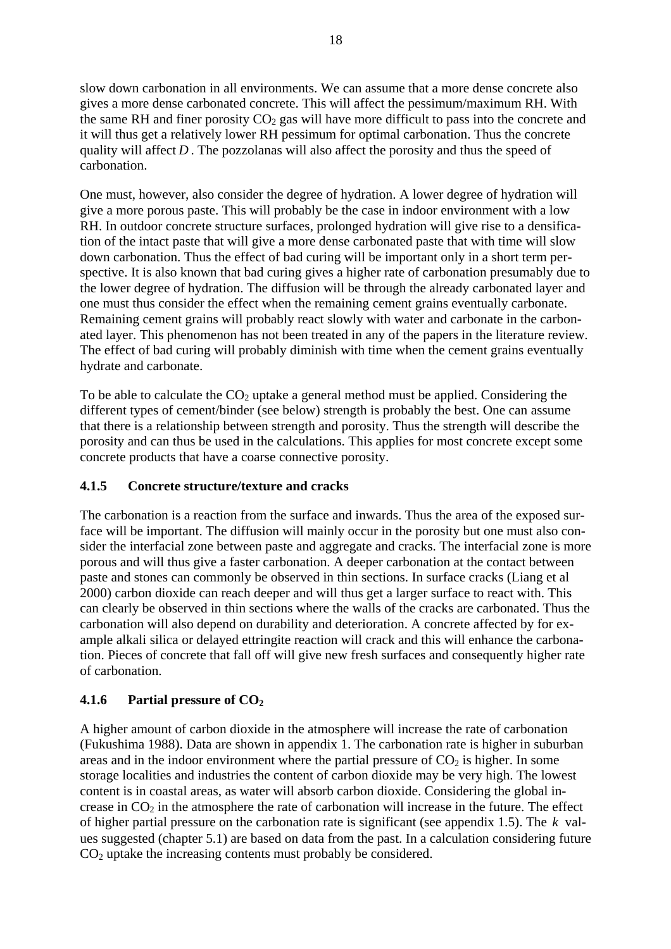<span id="page-18-0"></span>slow down carbonation in all environments. We can assume that a more dense concrete also gives a more dense carbonated concrete. This will affect the pessimum/maximum RH. With the same RH and finer porosity  $CO<sub>2</sub>$  gas will have more difficult to pass into the concrete and it will thus get a relatively lower RH pessimum for optimal carbonation. Thus the concrete quality will affect  $D$ . The pozzolanas will also affect the porosity and thus the speed of carbonation.

One must, however, also consider the degree of hydration. A lower degree of hydration will give a more porous paste. This will probably be the case in indoor environment with a low RH. In outdoor concrete structure surfaces, prolonged hydration will give rise to a densification of the intact paste that will give a more dense carbonated paste that with time will slow down carbonation. Thus the effect of bad curing will be important only in a short term perspective. It is also known that bad curing gives a higher rate of carbonation presumably due to the lower degree of hydration. The diffusion will be through the already carbonated layer and one must thus consider the effect when the remaining cement grains eventually carbonate. Remaining cement grains will probably react slowly with water and carbonate in the carbonated layer. This phenomenon has not been treated in any of the papers in the literature review. The effect of bad curing will probably diminish with time when the cement grains eventually hydrate and carbonate.

To be able to calculate the  $CO<sub>2</sub>$  uptake a general method must be applied. Considering the different types of cement/binder (see below) strength is probably the best. One can assume that there is a relationship between strength and porosity. Thus the strength will describe the porosity and can thus be used in the calculations. This applies for most concrete except some concrete products that have a coarse connective porosity.

#### **4.1.5 Concrete structure/texture and cracks**

The carbonation is a reaction from the surface and inwards. Thus the area of the exposed surface will be important. The diffusion will mainly occur in the porosity but one must also consider the interfacial zone between paste and aggregate and cracks. The interfacial zone is more porous and will thus give a faster carbonation. A deeper carbonation at the contact between paste and stones can commonly be observed in thin sections. In surface cracks (Liang et al 2000) carbon dioxide can reach deeper and will thus get a larger surface to react with. This can clearly be observed in thin sections where the walls of the cracks are carbonated. Thus the carbonation will also depend on durability and deterioration. A concrete affected by for example alkali silica or delayed ettringite reaction will crack and this will enhance the carbonation. Pieces of concrete that fall off will give new fresh surfaces and consequently higher rate of carbonation.

#### **4.1.6 Partial pressure of CO2**

A higher amount of carbon dioxide in the atmosphere will increase the rate of carbonation (Fukushima 1988). Data are shown in appendix 1. The carbonation rate is higher in suburban areas and in the indoor environment where the partial pressure of  $CO<sub>2</sub>$  is higher. In some storage localities and industries the content of carbon dioxide may be very high. The lowest content is in coastal areas, as water will absorb carbon dioxide. Considering the global increase in  $CO<sub>2</sub>$  in the atmosphere the rate of carbonation will increase in the future. The effect of higher partial pressure on the carbonation rate is significant (see appendix 1.5). The *k* values suggested (chapter 5.1) are based on data from the past. In a calculation considering future  $CO<sub>2</sub>$  uptake the increasing contents must probably be considered.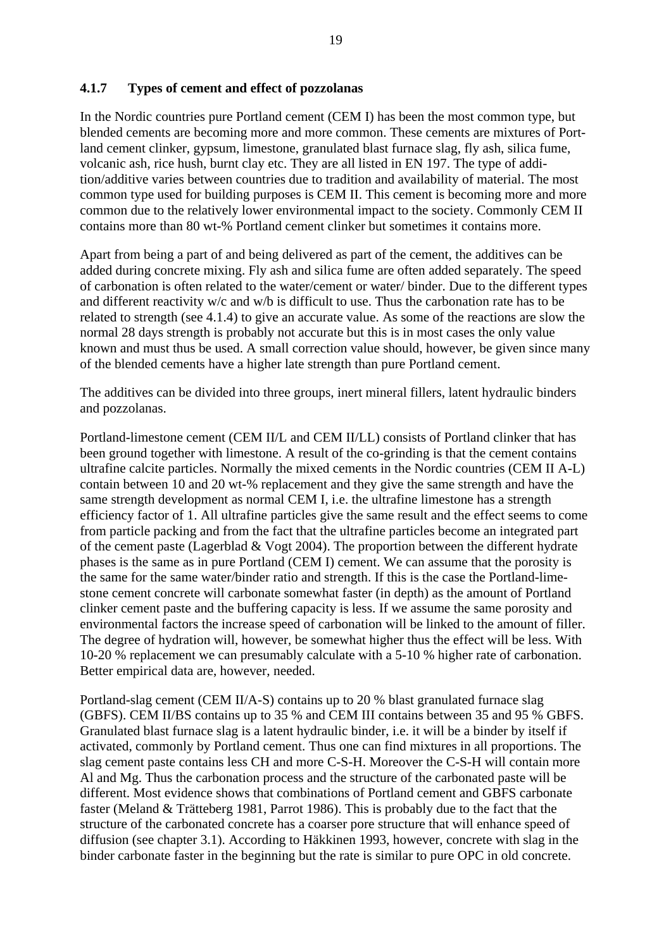#### <span id="page-19-0"></span>**4.1.7 Types of cement and effect of pozzolanas**

In the Nordic countries pure Portland cement (CEM I) has been the most common type, but blended cements are becoming more and more common. These cements are mixtures of Portland cement clinker, gypsum, limestone, granulated blast furnace slag, fly ash, silica fume, volcanic ash, rice hush, burnt clay etc. They are all listed in EN 197. The type of addition/additive varies between countries due to tradition and availability of material. The most common type used for building purposes is CEM II. This cement is becoming more and more common due to the relatively lower environmental impact to the society. Commonly CEM II contains more than 80 wt-% Portland cement clinker but sometimes it contains more.

Apart from being a part of and being delivered as part of the cement, the additives can be added during concrete mixing. Fly ash and silica fume are often added separately. The speed of carbonation is often related to the water/cement or water/ binder. Due to the different types and different reactivity w/c and w/b is difficult to use. Thus the carbonation rate has to be related to strength (see 4.1.4) to give an accurate value. As some of the reactions are slow the normal 28 days strength is probably not accurate but this is in most cases the only value known and must thus be used. A small correction value should, however, be given since many of the blended cements have a higher late strength than pure Portland cement.

The additives can be divided into three groups, inert mineral fillers, latent hydraulic binders and pozzolanas.

Portland-limestone cement (CEM II/L and CEM II/LL) consists of Portland clinker that has been ground together with limestone. A result of the co-grinding is that the cement contains ultrafine calcite particles. Normally the mixed cements in the Nordic countries (CEM II A-L) contain between 10 and 20 wt-% replacement and they give the same strength and have the same strength development as normal CEM I, i.e. the ultrafine limestone has a strength efficiency factor of 1. All ultrafine particles give the same result and the effect seems to come from particle packing and from the fact that the ultrafine particles become an integrated part of the cement paste (Lagerblad & Vogt 2004). The proportion between the different hydrate phases is the same as in pure Portland (CEM I) cement. We can assume that the porosity is the same for the same water/binder ratio and strength. If this is the case the Portland-limestone cement concrete will carbonate somewhat faster (in depth) as the amount of Portland clinker cement paste and the buffering capacity is less. If we assume the same porosity and environmental factors the increase speed of carbonation will be linked to the amount of filler. The degree of hydration will, however, be somewhat higher thus the effect will be less. With 10-20 % replacement we can presumably calculate with a 5-10 % higher rate of carbonation. Better empirical data are, however, needed.

Portland-slag cement (CEM II/A-S) contains up to 20 % blast granulated furnace slag (GBFS). CEM II/BS contains up to 35 % and CEM III contains between 35 and 95 % GBFS. Granulated blast furnace slag is a latent hydraulic binder, i.e. it will be a binder by itself if activated, commonly by Portland cement. Thus one can find mixtures in all proportions. The slag cement paste contains less CH and more C-S-H. Moreover the C-S-H will contain more Al and Mg. Thus the carbonation process and the structure of the carbonated paste will be different. Most evidence shows that combinations of Portland cement and GBFS carbonate faster (Meland & Trätteberg 1981, Parrot 1986). This is probably due to the fact that the structure of the carbonated concrete has a coarser pore structure that will enhance speed of diffusion (see chapter 3.1). According to Häkkinen 1993, however, concrete with slag in the binder carbonate faster in the beginning but the rate is similar to pure OPC in old concrete.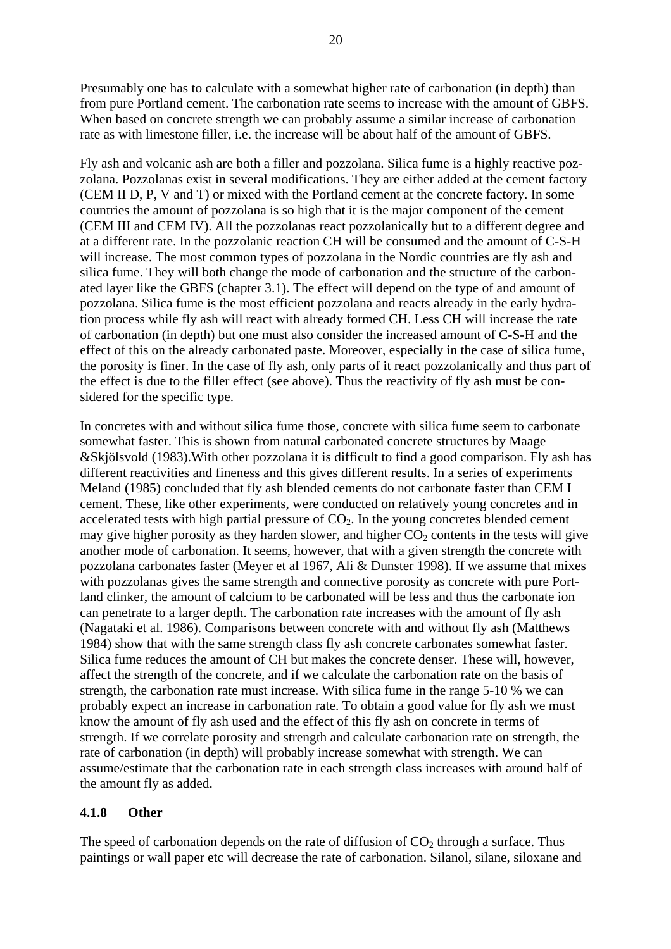<span id="page-20-0"></span>Presumably one has to calculate with a somewhat higher rate of carbonation (in depth) than from pure Portland cement. The carbonation rate seems to increase with the amount of GBFS. When based on concrete strength we can probably assume a similar increase of carbonation rate as with limestone filler, i.e. the increase will be about half of the amount of GBFS.

Fly ash and volcanic ash are both a filler and pozzolana. Silica fume is a highly reactive pozzolana. Pozzolanas exist in several modifications. They are either added at the cement factory (CEM II D, P, V and T) or mixed with the Portland cement at the concrete factory. In some countries the amount of pozzolana is so high that it is the major component of the cement (CEM III and CEM IV). All the pozzolanas react pozzolanically but to a different degree and at a different rate. In the pozzolanic reaction CH will be consumed and the amount of C-S-H will increase. The most common types of pozzolana in the Nordic countries are fly ash and silica fume. They will both change the mode of carbonation and the structure of the carbonated layer like the GBFS (chapter 3.1). The effect will depend on the type of and amount of pozzolana. Silica fume is the most efficient pozzolana and reacts already in the early hydration process while fly ash will react with already formed CH. Less CH will increase the rate of carbonation (in depth) but one must also consider the increased amount of C-S-H and the effect of this on the already carbonated paste. Moreover, especially in the case of silica fume, the porosity is finer. In the case of fly ash, only parts of it react pozzolanically and thus part of the effect is due to the filler effect (see above). Thus the reactivity of fly ash must be considered for the specific type.

In concretes with and without silica fume those, concrete with silica fume seem to carbonate somewhat faster. This is shown from natural carbonated concrete structures by Maage &Skjölsvold (1983).With other pozzolana it is difficult to find a good comparison. Fly ash has different reactivities and fineness and this gives different results. In a series of experiments Meland (1985) concluded that fly ash blended cements do not carbonate faster than CEM I cement. These, like other experiments, were conducted on relatively young concretes and in accelerated tests with high partial pressure of  $CO<sub>2</sub>$ . In the young concretes blended cement may give higher porosity as they harden slower, and higher  $CO<sub>2</sub>$  contents in the tests will give another mode of carbonation. It seems, however, that with a given strength the concrete with pozzolana carbonates faster (Meyer et al 1967, Ali & Dunster 1998). If we assume that mixes with pozzolanas gives the same strength and connective porosity as concrete with pure Portland clinker, the amount of calcium to be carbonated will be less and thus the carbonate ion can penetrate to a larger depth. The carbonation rate increases with the amount of fly ash (Nagataki et al. 1986). Comparisons between concrete with and without fly ash (Matthews 1984) show that with the same strength class fly ash concrete carbonates somewhat faster. Silica fume reduces the amount of CH but makes the concrete denser. These will, however, affect the strength of the concrete, and if we calculate the carbonation rate on the basis of strength, the carbonation rate must increase. With silica fume in the range 5-10 % we can probably expect an increase in carbonation rate. To obtain a good value for fly ash we must know the amount of fly ash used and the effect of this fly ash on concrete in terms of strength. If we correlate porosity and strength and calculate carbonation rate on strength, the rate of carbonation (in depth) will probably increase somewhat with strength. We can assume/estimate that the carbonation rate in each strength class increases with around half of the amount fly as added.

#### **4.1.8 Other**

The speed of carbonation depends on the rate of diffusion of  $CO<sub>2</sub>$  through a surface. Thus paintings or wall paper etc will decrease the rate of carbonation. Silanol, silane, siloxane and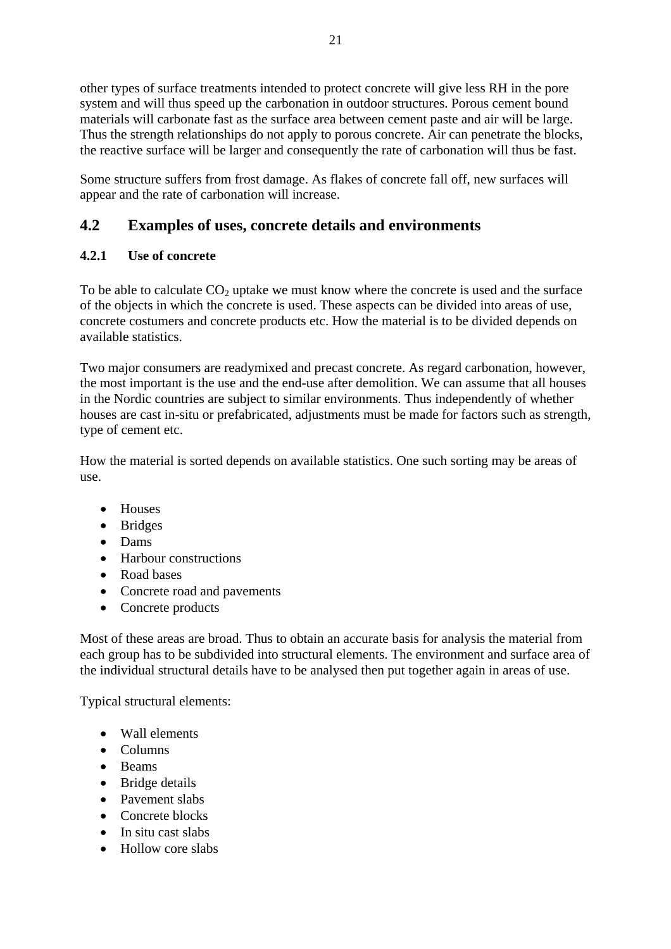<span id="page-21-0"></span>other types of surface treatments intended to protect concrete will give less RH in the pore system and will thus speed up the carbonation in outdoor structures. Porous cement bound materials will carbonate fast as the surface area between cement paste and air will be large. Thus the strength relationships do not apply to porous concrete. Air can penetrate the blocks, the reactive surface will be larger and consequently the rate of carbonation will thus be fast.

Some structure suffers from frost damage. As flakes of concrete fall off, new surfaces will appear and the rate of carbonation will increase.

### **4.2 Examples of uses, concrete details and environments**

### **4.2.1 Use of concrete**

To be able to calculate  $CO<sub>2</sub>$  uptake we must know where the concrete is used and the surface of the objects in which the concrete is used. These aspects can be divided into areas of use, concrete costumers and concrete products etc. How the material is to be divided depends on available statistics.

Two major consumers are readymixed and precast concrete. As regard carbonation, however, the most important is the use and the end-use after demolition. We can assume that all houses in the Nordic countries are subject to similar environments. Thus independently of whether houses are cast in-situ or prefabricated, adjustments must be made for factors such as strength, type of cement etc.

How the material is sorted depends on available statistics. One such sorting may be areas of use.

- Houses
- Bridges
- Dams
- Harbour constructions
- Road bases
- Concrete road and pavements
- Concrete products

Most of these areas are broad. Thus to obtain an accurate basis for analysis the material from each group has to be subdivided into structural elements. The environment and surface area of the individual structural details have to be analysed then put together again in areas of use.

Typical structural elements:

- Wall elements
- Columns
- Beams
- Bridge details
- Pavement slabs
- Concrete blocks
- In situ cast slabs
- Hollow core slabs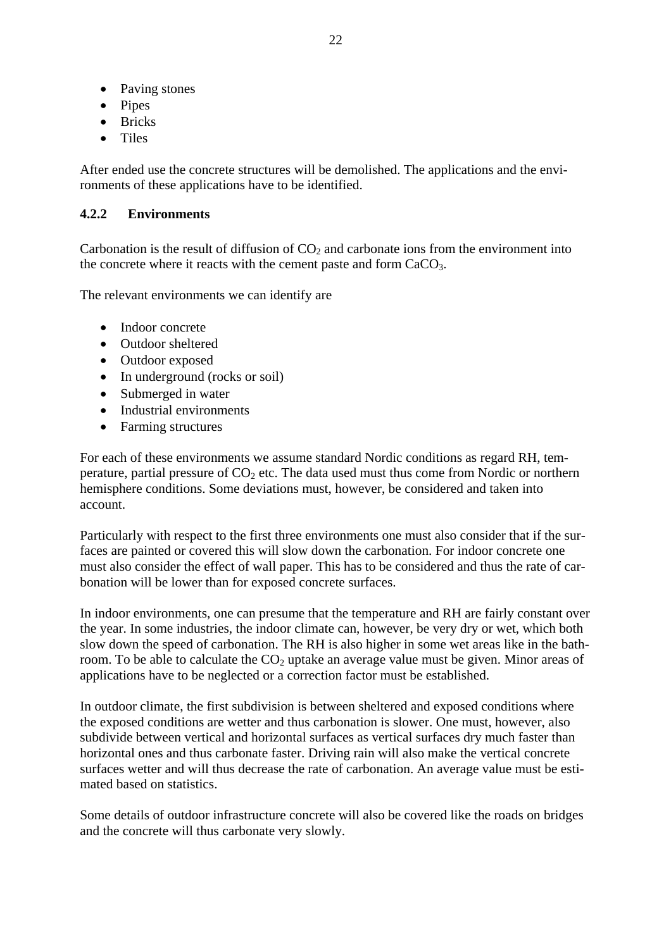- <span id="page-22-0"></span>• Paving stones
- Pipes
- Bricks
- Tiles

After ended use the concrete structures will be demolished. The applications and the environments of these applications have to be identified.

#### **4.2.2 Environments**

Carbonation is the result of diffusion of  $CO<sub>2</sub>$  and carbonate ions from the environment into the concrete where it reacts with the cement paste and form CaCO<sub>3</sub>.

The relevant environments we can identify are

- Indoor concrete
- Outdoor sheltered
- Outdoor exposed
- In underground (rocks or soil)
- Submerged in water
- Industrial environments
- Farming structures

For each of these environments we assume standard Nordic conditions as regard RH, temperature, partial pressure of  $CO<sub>2</sub>$  etc. The data used must thus come from Nordic or northern hemisphere conditions. Some deviations must, however, be considered and taken into account.

Particularly with respect to the first three environments one must also consider that if the surfaces are painted or covered this will slow down the carbonation. For indoor concrete one must also consider the effect of wall paper. This has to be considered and thus the rate of carbonation will be lower than for exposed concrete surfaces.

In indoor environments, one can presume that the temperature and RH are fairly constant over the year. In some industries, the indoor climate can, however, be very dry or wet, which both slow down the speed of carbonation. The RH is also higher in some wet areas like in the bathroom. To be able to calculate the  $CO<sub>2</sub>$  uptake an average value must be given. Minor areas of applications have to be neglected or a correction factor must be established.

In outdoor climate, the first subdivision is between sheltered and exposed conditions where the exposed conditions are wetter and thus carbonation is slower. One must, however, also subdivide between vertical and horizontal surfaces as vertical surfaces dry much faster than horizontal ones and thus carbonate faster. Driving rain will also make the vertical concrete surfaces wetter and will thus decrease the rate of carbonation. An average value must be estimated based on statistics.

Some details of outdoor infrastructure concrete will also be covered like the roads on bridges and the concrete will thus carbonate very slowly.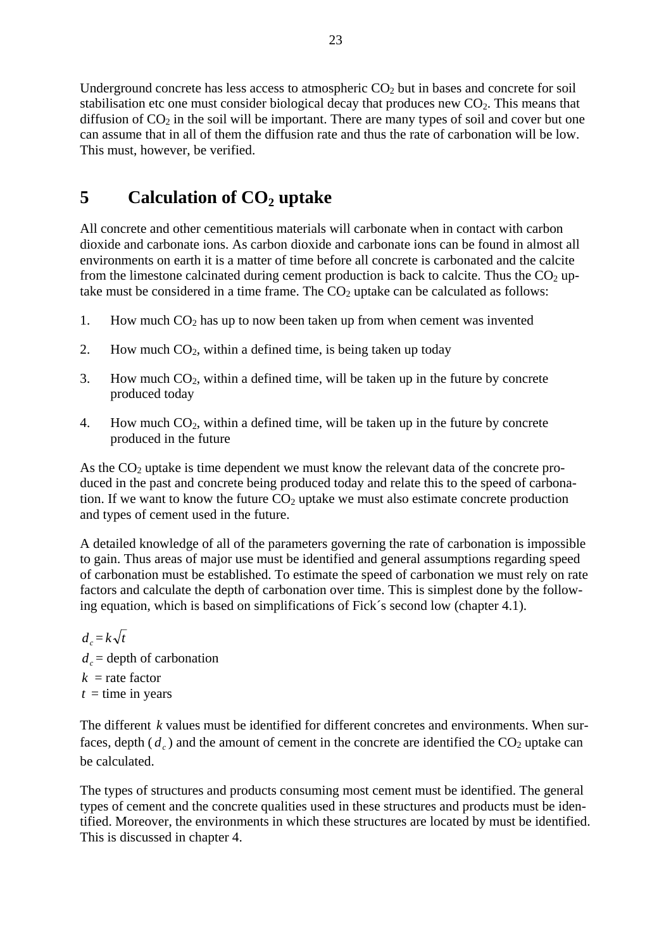<span id="page-23-0"></span>Underground concrete has less access to atmospheric  $CO<sub>2</sub>$  but in bases and concrete for soil stabilisation etc one must consider biological decay that produces new  $CO<sub>2</sub>$ . This means that diffusion of  $CO<sub>2</sub>$  in the soil will be important. There are many types of soil and cover but one can assume that in all of them the diffusion rate and thus the rate of carbonation will be low. This must, however, be verified.

# **5** Calculation of CO<sub>2</sub> uptake

All concrete and other cementitious materials will carbonate when in contact with carbon dioxide and carbonate ions. As carbon dioxide and carbonate ions can be found in almost all environments on earth it is a matter of time before all concrete is carbonated and the calcite from the limestone calcinated during cement production is back to calcite. Thus the  $CO<sub>2</sub>$  uptake must be considered in a time frame. The  $CO<sub>2</sub>$  uptake can be calculated as follows:

- 1. How much  $CO<sub>2</sub>$  has up to now been taken up from when cement was invented
- 2. How much  $CO<sub>2</sub>$ , within a defined time, is being taken up today
- 3. How much  $CO<sub>2</sub>$ , within a defined time, will be taken up in the future by concrete produced today
- 4. How much  $CO<sub>2</sub>$ , within a defined time, will be taken up in the future by concrete produced in the future

As the  $CO<sub>2</sub>$  uptake is time dependent we must know the relevant data of the concrete produced in the past and concrete being produced today and relate this to the speed of carbonation. If we want to know the future  $CO<sub>2</sub>$  uptake we must also estimate concrete production and types of cement used in the future.

A detailed knowledge of all of the parameters governing the rate of carbonation is impossible to gain. Thus areas of major use must be identified and general assumptions regarding speed of carbonation must be established. To estimate the speed of carbonation we must rely on rate factors and calculate the depth of carbonation over time. This is simplest done by the following equation, which is based on simplifications of Fick´s second low (chapter 4.1).

 $d = k\sqrt{t}$  $d_c$  = depth of carbonation  $k =$ rate factor  $t =$  time in years

The different k values must be identified for different concretes and environments. When surfaces, depth  $(d_c)$  and the amount of cement in the concrete are identified the  $CO_2$  uptake can be calculated.

The types of structures and products consuming most cement must be identified. The general types of cement and the concrete qualities used in these structures and products must be identified. Moreover, the environments in which these structures are located by must be identified. This is discussed in chapter 4.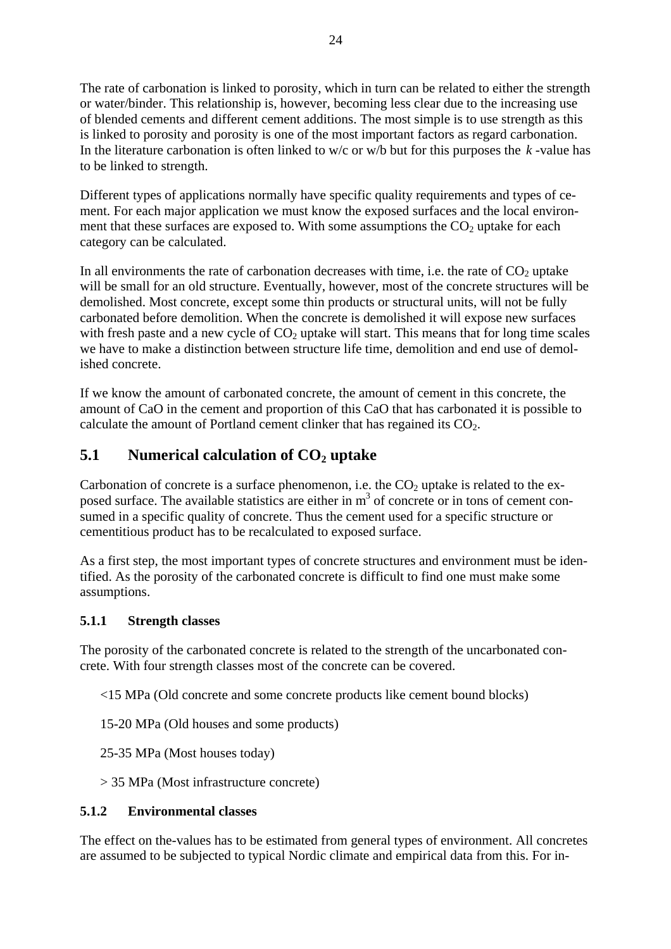<span id="page-24-0"></span>The rate of carbonation is linked to porosity, which in turn can be related to either the strength or water/binder. This relationship is, however, becoming less clear due to the increasing use of blended cements and different cement additions. The most simple is to use strength as this is linked to porosity and porosity is one of the most important factors as regard carbonation. In the literature carbonation is often linked to  $w/c$  or  $w/b$  but for this purposes the  $k$ -value has to be linked to strength.

Different types of applications normally have specific quality requirements and types of cement. For each major application we must know the exposed surfaces and the local environment that these surfaces are exposed to. With some assumptions the  $CO<sub>2</sub>$  uptake for each category can be calculated.

In all environments the rate of carbonation decreases with time, i.e. the rate of  $CO<sub>2</sub>$  uptake will be small for an old structure. Eventually, however, most of the concrete structures will be demolished. Most concrete, except some thin products or structural units, will not be fully carbonated before demolition. When the concrete is demolished it will expose new surfaces with fresh paste and a new cycle of  $CO<sub>2</sub>$  uptake will start. This means that for long time scales we have to make a distinction between structure life time, demolition and end use of demolished concrete.

If we know the amount of carbonated concrete, the amount of cement in this concrete, the amount of CaO in the cement and proportion of this CaO that has carbonated it is possible to calculate the amount of Portland cement clinker that has regained its  $CO<sub>2</sub>$ .

### **5.1 Numerical calculation of CO<sub>2</sub> uptake**

Carbonation of concrete is a surface phenomenon, i.e. the  $CO<sub>2</sub>$  uptake is related to the exposed surface. The available statistics are either in  $m<sup>3</sup>$  of concrete or in tons of cement consumed in a specific quality of concrete. Thus the cement used for a specific structure or cementitious product has to be recalculated to exposed surface.

As a first step, the most important types of concrete structures and environment must be identified. As the porosity of the carbonated concrete is difficult to find one must make some assumptions.

### **5.1.1 Strength classes**

The porosity of the carbonated concrete is related to the strength of the uncarbonated concrete. With four strength classes most of the concrete can be covered.

<15 MPa (Old concrete and some concrete products like cement bound blocks)

15-20 MPa (Old houses and some products)

25-35 MPa (Most houses today)

> 35 MPa (Most infrastructure concrete)

#### **5.1.2 Environmental classes**

The effect on the-values has to be estimated from general types of environment. All concretes are assumed to be subjected to typical Nordic climate and empirical data from this. For in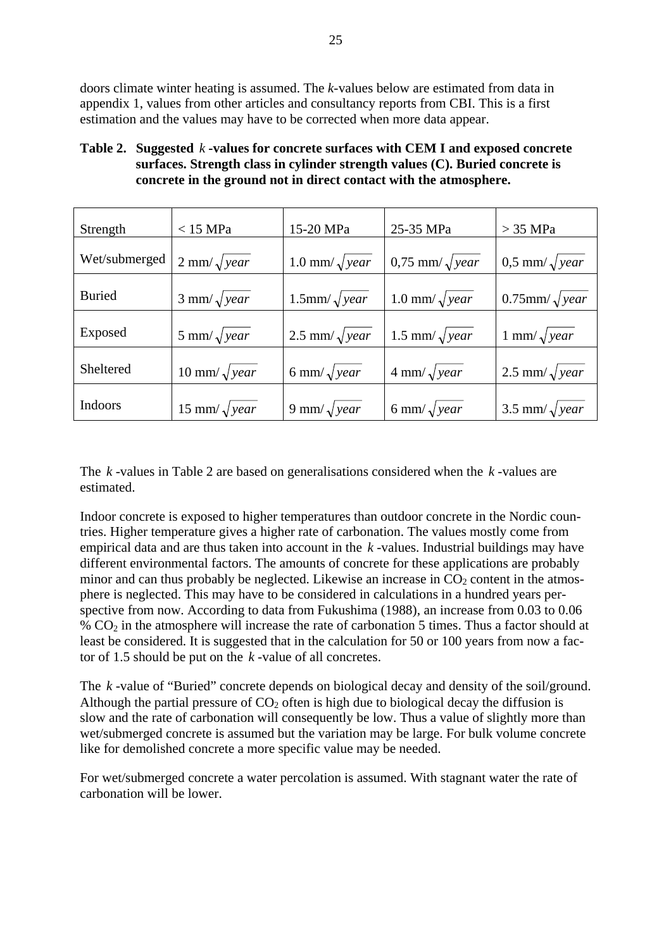doors climate winter heating is assumed. The *k*-values below are estimated from data in appendix 1, values from other articles and consultancy reports from CBI. This is a first estimation and the values may have to be corrected when more data appear.

#### Table 2. Suggested k-values for concrete surfaces with CEM I and exposed concrete **surfaces. Strength class in cylinder strength values (C). Buried concrete is concrete in the ground not in direct contact with the atmosphere.**

| Strength       | $<$ 15 MPa                 | 15-20 MPa               | 25-35 MPa                    | $>$ 35 MPa               |
|----------------|----------------------------|-------------------------|------------------------------|--------------------------|
| Wet/submerged  | $2 \text{ mm}/\sqrt{year}$ | 1.0 mm/ $\sqrt{year}$   | $0.75$ mm/ $\sqrt{year}$     | $0.5$ mm/ $\sqrt{year}$  |
| <b>Buried</b>  | $3 \text{ mm}/\sqrt{year}$ | $1.5$ mm/ $\sqrt{year}$ | $1.0 \text{ mm}/\sqrt{year}$ | $0.75$ mm/ $\sqrt{year}$ |
|                |                            |                         |                              |                          |
| Exposed        | 5 mm/ $\sqrt{year}$        | 2.5 mm/ $\sqrt{year}$   | 1.5 mm/ $\sqrt{year}$        | 1 mm/ $\sqrt{year}$      |
| Sheltered      | 10 mm/ $\sqrt{year}$       | 6 mm/ $\sqrt{year}$     | $4 \text{ mm}/\sqrt{year}$   | 2.5 mm/ $\sqrt{year}$    |
| <b>Indoors</b> | 15 mm/ $\sqrt{year}$       | 9 mm/ $\sqrt{year}$     | 6 mm/ $\sqrt{year}$          | 3.5 mm/ $\sqrt{year}$    |

The  $k$ -values in Table 2 are based on generalisations considered when the  $k$ -values are estimated.

Indoor concrete is exposed to higher temperatures than outdoor concrete in the Nordic countries. Higher temperature gives a higher rate of carbonation. The values mostly come from empirical data and are thus taken into account in the *k* -values. Industrial buildings may have different environmental factors. The amounts of concrete for these applications are probably minor and can thus probably be neglected. Likewise an increase in  $CO<sub>2</sub>$  content in the atmosphere is neglected. This may have to be considered in calculations in a hundred years perspective from now. According to data from Fukushima (1988), an increase from 0.03 to 0.06 % CO2 in the atmosphere will increase the rate of carbonation 5 times. Thus a factor should at least be considered. It is suggested that in the calculation for 50 or 100 years from now a factor of 1.5 should be put on the *k* -value of all concretes.

The  $k$ -value of "Buried" concrete depends on biological decay and density of the soil/ground. Although the partial pressure of  $CO<sub>2</sub>$  often is high due to biological decay the diffusion is slow and the rate of carbonation will consequently be low. Thus a value of slightly more than wet/submerged concrete is assumed but the variation may be large. For bulk volume concrete like for demolished concrete a more specific value may be needed.

For wet/submerged concrete a water percolation is assumed. With stagnant water the rate of carbonation will be lower.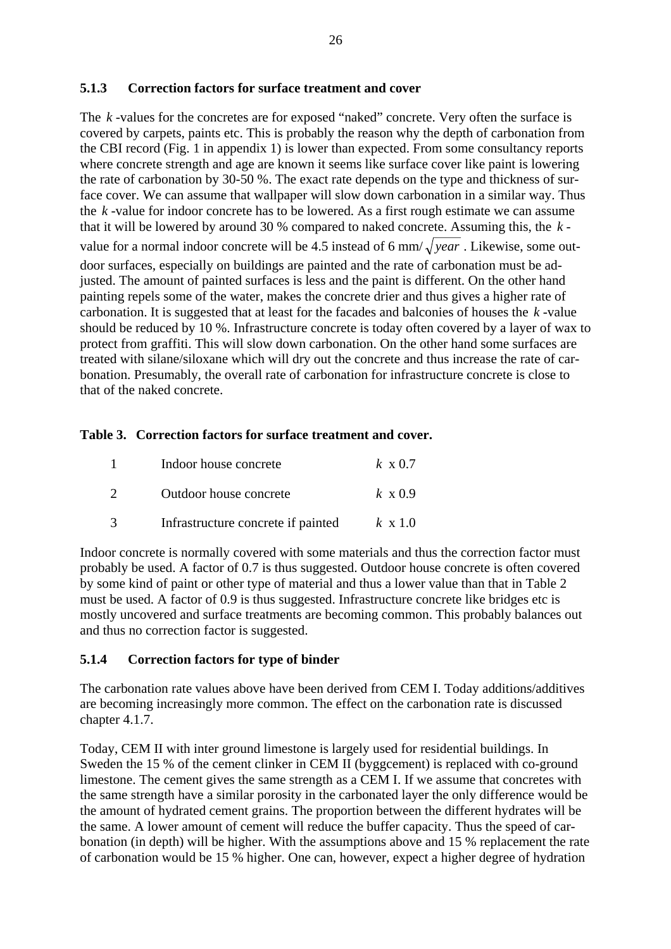#### <span id="page-26-0"></span>**5.1.3 Correction factors for surface treatment and cover**

The  $k$ -values for the concretes are for exposed "naked" concrete. Very often the surface is covered by carpets, paints etc. This is probably the reason why the depth of carbonation from the CBI record (Fig. 1 in appendix 1) is lower than expected. From some consultancy reports where concrete strength and age are known it seems like surface cover like paint is lowering the rate of carbonation by 30-50 %. The exact rate depends on the type and thickness of surface cover. We can assume that wallpaper will slow down carbonation in a similar way. Thus the  $k$ -value for indoor concrete has to be lowered. As a first rough estimate we can assume that it will be lowered by around 30 % compared to naked concrete. Assuming this, the *k* value for a normal indoor concrete will be 4.5 instead of 6 mm/ $\sqrt{year}$ . Likewise, some outdoor surfaces, especially on buildings are painted and the rate of carbonation must be adjusted. The amount of painted surfaces is less and the paint is different. On the other hand painting repels some of the water, makes the concrete drier and thus gives a higher rate of carbonation. It is suggested that at least for the facades and balconies of houses the  $k$ -value should be reduced by 10 %. Infrastructure concrete is today often covered by a layer of wax to protect from graffiti. This will slow down carbonation. On the other hand some surfaces are treated with silane/siloxane which will dry out the concrete and thus increase the rate of carbonation. Presumably, the overall rate of carbonation for infrastructure concrete is close to that of the naked concrete.

#### **Table 3. Correction factors for surface treatment and cover.**

| Indoor house concrete              | $k \times 0.7$ |
|------------------------------------|----------------|
| Outdoor house concrete             | $k \times 0.9$ |
| Infrastructure concrete if painted | $k \times 1.0$ |

Indoor concrete is normally covered with some materials and thus the correction factor must probably be used. A factor of 0.7 is thus suggested. Outdoor house concrete is often covered by some kind of paint or other type of material and thus a lower value than that in Table 2 must be used. A factor of 0.9 is thus suggested. Infrastructure concrete like bridges etc is mostly uncovered and surface treatments are becoming common. This probably balances out and thus no correction factor is suggested.

#### **5.1.4 Correction factors for type of binder**

The carbonation rate values above have been derived from CEM I. Today additions/additives are becoming increasingly more common. The effect on the carbonation rate is discussed chapter 4.1.7.

Today, CEM II with inter ground limestone is largely used for residential buildings. In Sweden the 15 % of the cement clinker in CEM II (byggcement) is replaced with co-ground limestone. The cement gives the same strength as a CEM I. If we assume that concretes with the same strength have a similar porosity in the carbonated layer the only difference would be the amount of hydrated cement grains. The proportion between the different hydrates will be the same. A lower amount of cement will reduce the buffer capacity. Thus the speed of carbonation (in depth) will be higher. With the assumptions above and 15 % replacement the rate of carbonation would be 15 % higher. One can, however, expect a higher degree of hydration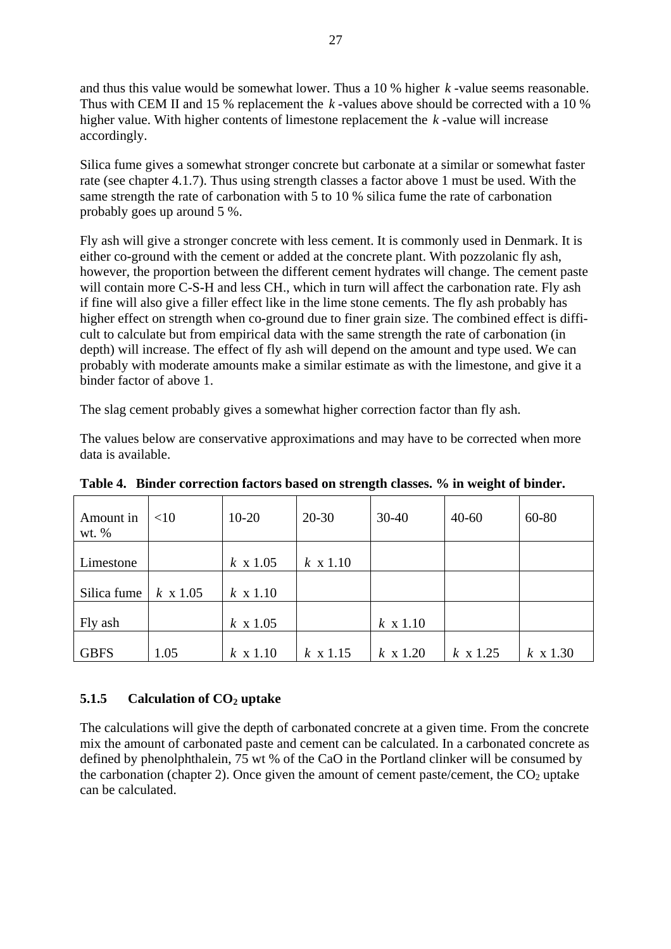<span id="page-27-0"></span>and thus this value would be somewhat lower. Thus a  $10\%$  higher  $k$ -value seems reasonable. Thus with CEM II and 15 % replacement the  $k$ -values above should be corrected with a 10 % higher value. With higher contents of limestone replacement the *k* -value will increase accordingly.

Silica fume gives a somewhat stronger concrete but carbonate at a similar or somewhat faster rate (see chapter 4.1.7). Thus using strength classes a factor above 1 must be used. With the same strength the rate of carbonation with 5 to 10 % silica fume the rate of carbonation probably goes up around 5 %.

Fly ash will give a stronger concrete with less cement. It is commonly used in Denmark. It is either co-ground with the cement or added at the concrete plant. With pozzolanic fly ash, however, the proportion between the different cement hydrates will change. The cement paste will contain more C-S-H and less CH., which in turn will affect the carbonation rate. Fly ash if fine will also give a filler effect like in the lime stone cements. The fly ash probably has higher effect on strength when co-ground due to finer grain size. The combined effect is difficult to calculate but from empirical data with the same strength the rate of carbonation (in depth) will increase. The effect of fly ash will depend on the amount and type used. We can probably with moderate amounts make a similar estimate as with the limestone, and give it a binder factor of above 1.

The slag cement probably gives a somewhat higher correction factor than fly ash.

The values below are conservative approximations and may have to be corrected when more data is available.

| Amount in<br>wt. $%$ | $<$ 10          | $10-20$         | $20 - 30$       | $30 - 40$       | $40 - 60$       | 60-80           |
|----------------------|-----------------|-----------------|-----------------|-----------------|-----------------|-----------------|
|                      |                 |                 |                 |                 |                 |                 |
| Limestone            |                 | $k \times 1.05$ | $k \times 1.10$ |                 |                 |                 |
|                      |                 |                 |                 |                 |                 |                 |
| Silica fume          | $k \times 1.05$ | $k \times 1.10$ |                 |                 |                 |                 |
|                      |                 |                 |                 |                 |                 |                 |
| Fly ash              |                 | $k \times 1.05$ |                 | $k \times 1.10$ |                 |                 |
|                      |                 |                 |                 |                 |                 |                 |
| <b>GBFS</b>          | 1.05            | $k \times 1.10$ | $k \times 1.15$ | $k \times 1.20$ | $k \times 1.25$ | $k \times 1.30$ |

**Table 4. Binder correction factors based on strength classes. % in weight of binder.** 

### **5.1.5** Calculation of CO<sub>2</sub> uptake

The calculations will give the depth of carbonated concrete at a given time. From the concrete mix the amount of carbonated paste and cement can be calculated. In a carbonated concrete as defined by phenolphthalein,  $75 \text{ wt }$ % of the CaO in the Portland clinker will be consumed by the carbonation (chapter 2). Once given the amount of cement paste/cement, the  $CO<sub>2</sub>$  uptake can be calculated.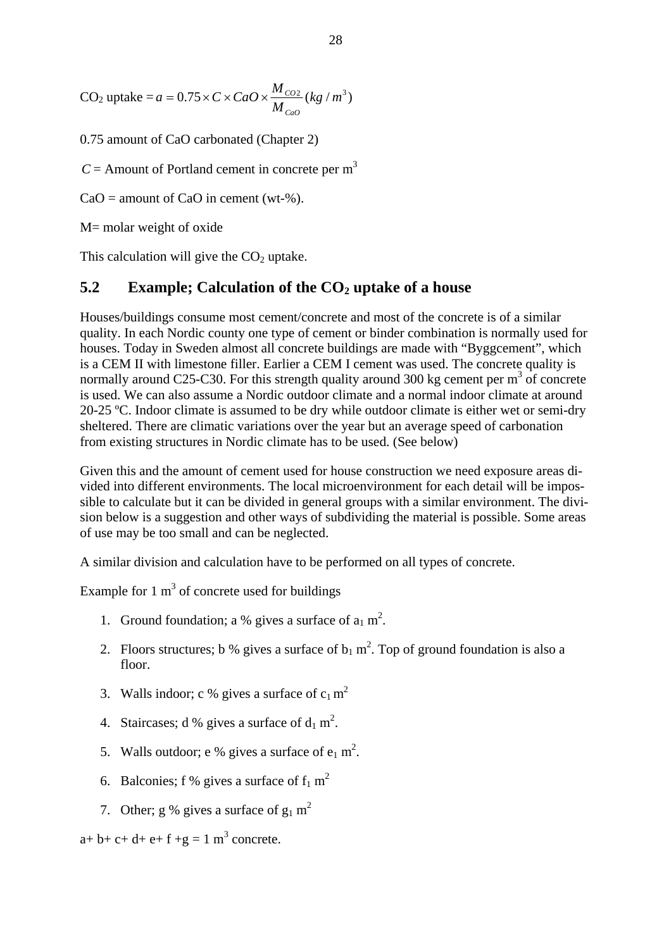<span id="page-28-0"></span> $CO_2$  uptake  $=a = 0.75 \times C \times CaO \times \frac{M_{CO2}}{M_{CO}} (kg/m^3)$ *CaO*  $= 0.75 \times C \times CaO \times \frac{m_{CO}}{100}$ 

0.75 amount of CaO carbonated (Chapter 2)

 $C =$  Amount of Portland cement in concrete per m<sup>3</sup>

 $CaO =$  amount of  $CaO$  in cement (wt-%).

M= molar weight of oxide

This calculation will give the  $CO<sub>2</sub>$  uptake.

### **5.2** Example; Calculation of the CO<sub>2</sub> uptake of a house

Houses/buildings consume most cement/concrete and most of the concrete is of a similar quality. In each Nordic county one type of cement or binder combination is normally used for houses. Today in Sweden almost all concrete buildings are made with "Byggcement", which is a CEM II with limestone filler. Earlier a CEM I cement was used. The concrete quality is normally around C25-C30. For this strength quality around 300 kg cement per  $m<sup>3</sup>$  of concrete is used. We can also assume a Nordic outdoor climate and a normal indoor climate at around 20-25 ºC. Indoor climate is assumed to be dry while outdoor climate is either wet or semi-dry sheltered. There are climatic variations over the year but an average speed of carbonation from existing structures in Nordic climate has to be used. (See below)

Given this and the amount of cement used for house construction we need exposure areas divided into different environments. The local microenvironment for each detail will be impossible to calculate but it can be divided in general groups with a similar environment. The division below is a suggestion and other ways of subdividing the material is possible. Some areas of use may be too small and can be neglected.

A similar division and calculation have to be performed on all types of concrete.

Example for 1  $m<sup>3</sup>$  of concrete used for buildings

- 1. Ground foundation; a % gives a surface of  $a_1$  m<sup>2</sup>.
- 2. Floors structures; b % gives a surface of  $b_1$  m<sup>2</sup>. Top of ground foundation is also a floor.
- 3. Walls indoor; c % gives a surface of  $c_1 m^2$
- 4. Staircases; d % gives a surface of  $d_1 m^2$ .
- 5. Walls outdoor; e % gives a surface of  $e_1$  m<sup>2</sup>.
- 6. Balconies; f % gives a surface of  $f_1$  m<sup>2</sup>
- 7. Other; g % gives a surface of  $g_1 m^2$

 $a+b+c+d+e+f+g=1$  m<sup>3</sup> concrete.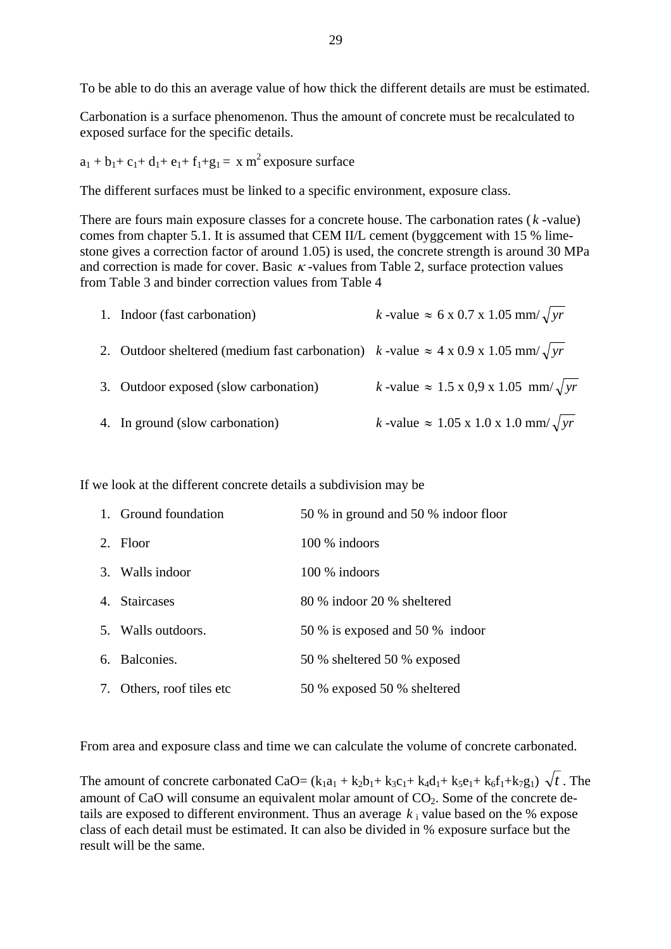To be able to do this an average value of how thick the different details are must be estimated.

Carbonation is a surface phenomenon. Thus the amount of concrete must be recalculated to exposed surface for the specific details.

 $a_1 + b_1 + c_1 + d_1 + e_1 + f_1 + g_1 = x m^2$  exposure surface

The different surfaces must be linked to a specific environment, exposure class.

There are fours main exposure classes for a concrete house. The carbonation rates  $(k$ -value) comes from chapter 5.1. It is assumed that CEM II/L cement (byggcement with 15 % limestone gives a correction factor of around 1.05) is used, the concrete strength is around 30 MPa and correction is made for cover. Basic  $\kappa$ -values from Table 2, surface protection values from Table 3 and binder correction values from Table 4

| 1. Indoor (fast carbonation)                                                                       | k -value $\approx 6 \times 0.7 \times 1.05$ mm/ $\sqrt{yr}$   |
|----------------------------------------------------------------------------------------------------|---------------------------------------------------------------|
| 2. Outdoor sheltered (medium fast carbonation) $k$ -value $\approx$ 4 x 0.9 x 1.05 mm/ $\sqrt{yr}$ |                                                               |
| 3. Outdoor exposed (slow carbonation)                                                              | k -value $\approx 1.5 \times 0.9 \times 1.05$ mm/ $\sqrt{yr}$ |
| 4. In ground (slow carbonation)                                                                    | k -value $\approx 1.05 \times 1.0 \times 1.0$ mm/ $\sqrt{yr}$ |

If we look at the different concrete details a subdivision may be

|             | 1. Ground foundation      | 50 % in ground and 50 % indoor floor |
|-------------|---------------------------|--------------------------------------|
| $2^{\circ}$ | Floor                     | 100 % indoors                        |
|             | 3. Walls indoor           | 100 % indoors                        |
|             | 4. Staircases             | 80 % indoor 20 % sheltered           |
|             | 5. Walls outdoors.        | 50 % is exposed and 50 % indoor      |
|             | 6. Balconies.             | 50 % sheltered 50 % exposed          |
|             | 7. Others, roof tiles etc | 50 % exposed 50 % sheltered          |

From area and exposure class and time we can calculate the volume of concrete carbonated.

The amount of concrete carbonated CaO=  $(k_1a_1 + k_2b_1 + k_3c_1 + k_4d_1 + k_5e_1 + k_6f_1 + k_7g_1)$   $\sqrt{t}$ . The amount of CaO will consume an equivalent molar amount of  $CO<sub>2</sub>$ . Some of the concrete details are exposed to different environment. Thus an average  $k_i$  value based on the % expose class of each detail must be estimated. It can also be divided in % exposure surface but the result will be the same.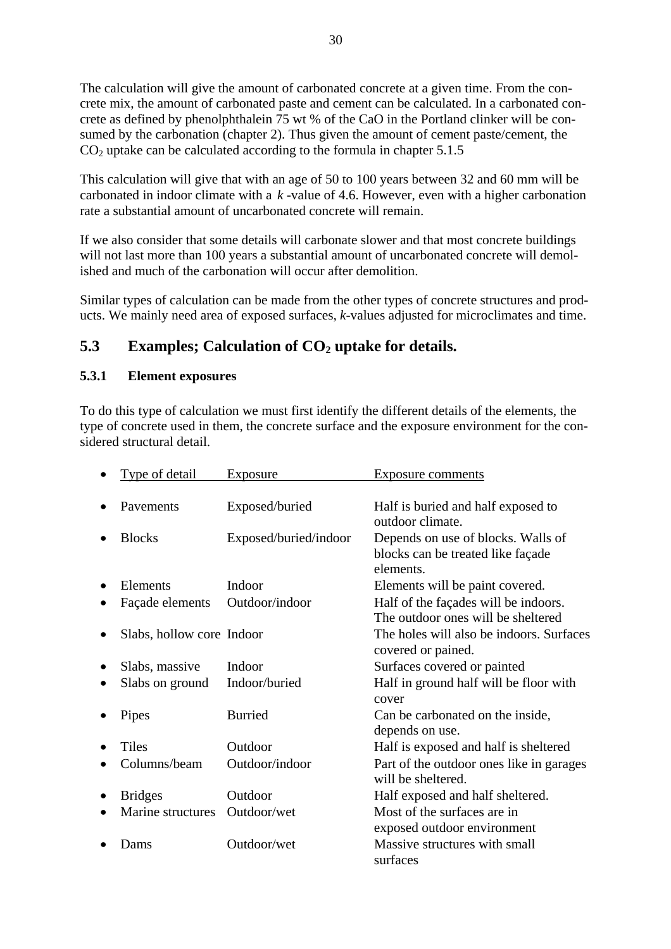<span id="page-30-0"></span>The calculation will give the amount of carbonated concrete at a given time. From the concrete mix, the amount of carbonated paste and cement can be calculated. In a carbonated concrete as defined by phenolphthalein 75 wt % of the CaO in the Portland clinker will be consumed by the carbonation (chapter 2). Thus given the amount of cement paste/cement, the  $CO<sub>2</sub>$  uptake can be calculated according to the formula in chapter 5.1.5

This calculation will give that with an age of 50 to 100 years between 32 and 60 mm will be carbonated in indoor climate with a  $k$ -value of 4.6. However, even with a higher carbonation rate a substantial amount of uncarbonated concrete will remain.

If we also consider that some details will carbonate slower and that most concrete buildings will not last more than 100 years a substantial amount of uncarbonated concrete will demolished and much of the carbonation will occur after demolition.

Similar types of calculation can be made from the other types of concrete structures and products. We mainly need area of exposed surfaces, *k*-values adjusted for microclimates and time.

### **5.3** Examples; Calculation of CO<sub>2</sub> uptake for details.

#### **5.3.1 Element exposures**

To do this type of calculation we must first identify the different details of the elements, the type of concrete used in them, the concrete surface and the exposure environment for the considered structural detail.

|   | Type of detail            | Exposure              | <b>Exposure comments</b>                                                             |
|---|---------------------------|-----------------------|--------------------------------------------------------------------------------------|
|   |                           |                       |                                                                                      |
|   | Pavements                 | Exposed/buried        | Half is buried and half exposed to<br>outdoor climate.                               |
|   | <b>Blocks</b>             | Exposed/buried/indoor | Depends on use of blocks. Walls of<br>blocks can be treated like façade<br>elements. |
|   | Elements                  | Indoor                | Elements will be paint covered.                                                      |
|   | Façade elements           | Outdoor/indoor        | Half of the façades will be indoors.<br>The outdoor ones will be sheltered           |
| ٠ | Slabs, hollow core Indoor |                       | The holes will also be indoors. Surfaces<br>covered or pained.                       |
| ٠ | Slabs, massive            | Indoor                | Surfaces covered or painted                                                          |
| ٠ | Slabs on ground           | Indoor/buried         | Half in ground half will be floor with<br>cover                                      |
|   | Pipes                     | <b>Burried</b>        | Can be carbonated on the inside,<br>depends on use.                                  |
|   | <b>Tiles</b>              | Outdoor               | Half is exposed and half is sheltered                                                |
|   | Columns/beam              | Outdoor/indoor        | Part of the outdoor ones like in garages<br>will be sheltered.                       |
| ٠ | <b>Bridges</b>            | Outdoor               | Half exposed and half sheltered.                                                     |
|   | Marine structures         | Outdoor/wet           | Most of the surfaces are in<br>exposed outdoor environment                           |
|   | Dams                      | Outdoor/wet           | Massive structures with small<br>surfaces                                            |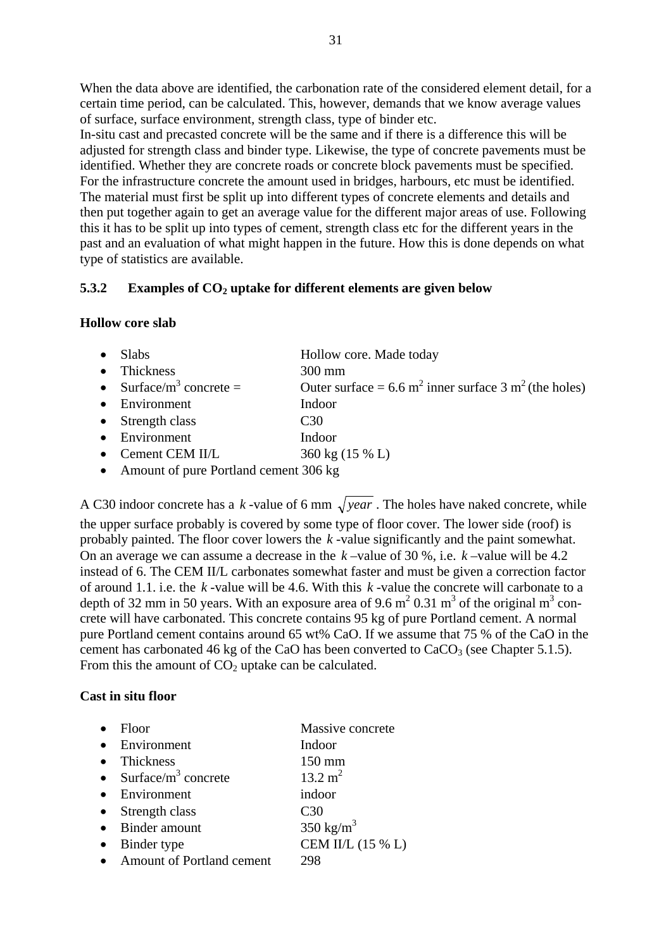<span id="page-31-0"></span>When the data above are identified, the carbonation rate of the considered element detail, for a certain time period, can be calculated. This, however, demands that we know average values of surface, surface environment, strength class, type of binder etc.

In-situ cast and precasted concrete will be the same and if there is a difference this will be adjusted for strength class and binder type. Likewise, the type of concrete pavements must be identified. Whether they are concrete roads or concrete block pavements must be specified. For the infrastructure concrete the amount used in bridges, harbours, etc must be identified. The material must first be split up into different types of concrete elements and details and then put together again to get an average value for the different major areas of use. Following this it has to be split up into types of cement, strength class etc for the different years in the past and an evaluation of what might happen in the future. How this is done depends on what type of statistics are available.

#### **5.3.2 Examples of CO2 uptake for different elements are given below**

#### **Hollow core slab**

| $\bullet$ Slabs                                | Hollow core. Made today                                                      |
|------------------------------------------------|------------------------------------------------------------------------------|
| • Thickness                                    | $300 \text{ mm}$                                                             |
| • Surface/m <sup>3</sup> concrete =            | Outer surface = $6.6 \text{ m}^2$ inner surface 3 m <sup>2</sup> (the holes) |
| • Environment                                  | Indoor                                                                       |
| $\bullet$ Strength class                       | C <sub>30</sub>                                                              |
| • Environment                                  | Indoor                                                                       |
| • Cement CEM II/L                              | 360 kg (15 % L)                                                              |
| $\sim$ A mount of num Doutland comput $206$ kg |                                                                              |

• Amount of pure Portland cement 306 kg

A C30 indoor concrete has a k-value of 6 mm  $\sqrt{year}$ . The holes have naked concrete, while the upper surface probably is covered by some type of floor cover. The lower side (roof) is probably painted. The floor cover lowers the *k* -value significantly and the paint somewhat. On an average we can assume a decrease in the  $k$ -value of 30 %, i.e.  $k$ -value will be 4.2 instead of 6. The CEM II/L carbonates somewhat faster and must be given a correction factor of around 1.1. i.e. the  $k$ -value will be 4.6. With this  $k$ -value the concrete will carbonate to a depth of 32 mm in 50 years. With an exposure area of 9.6 m<sup>2</sup> 0.31 m<sup>3</sup> of the original m<sup>3</sup> concrete will have carbonated. This concrete contains 95 kg of pure Portland cement. A normal pure Portland cement contains around 65 wt% CaO. If we assume that 75 % of the CaO in the cement has carbonated 46 kg of the CaO has been converted to  $CaCO<sub>3</sub>$  (see Chapter 5.1.5). From this the amount of  $CO<sub>2</sub>$  uptake can be calculated.

#### **Cast in situ floor**

| $\bullet$ | Floor                                     | Massive concrete     |
|-----------|-------------------------------------------|----------------------|
|           | • Environment                             | Indoor               |
|           | • Thickness                               | 150 mm               |
|           | $\bullet$ Surface/m <sup>3</sup> concrete | $13.2 \text{ m}^2$   |
|           | • Environment                             | indoor               |
|           | $\bullet$ Strength class                  | C <sub>30</sub>      |
|           | • Binder amount                           | $350 \text{ kg/m}^3$ |
| $\bullet$ | Binder type                               | CEM II/L (15 % L)    |
|           | • Amount of Portland cement               | 298                  |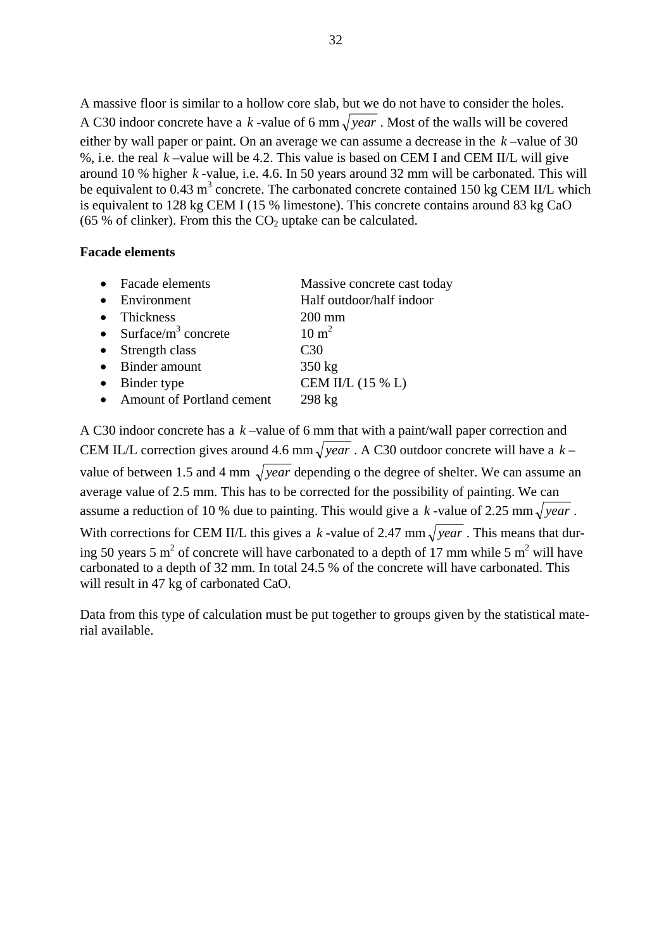A massive floor is similar to a hollow core slab, but we do not have to consider the holes. A C30 indoor concrete have a k-value of 6 mm  $\sqrt{year}$ . Most of the walls will be covered either by wall paper or paint. On an average we can assume a decrease in the  $k$ -value of 30 %, i.e. the real *k* –value will be 4.2. This value is based on CEM I and CEM II/L will give around 10 % higher  $k$ -value, i.e. 4.6. In 50 years around 32 mm will be carbonated. This will be equivalent to 0.43  $m^3$  concrete. The carbonated concrete contained 150 kg CEM II/L which is equivalent to 128 kg CEM I (15 % limestone). This concrete contains around 83 kg CaO (65 % of clinker). From this the  $CO<sub>2</sub>$  uptake can be calculated.

#### **Facade elements**

|           | Facade elements                  | Massive concrete cast today |
|-----------|----------------------------------|-----------------------------|
|           | Environment                      | Half outdoor/half indoor    |
|           | Thickness                        | $200 \text{ mm}$            |
|           | • Surface/ $m^3$ concrete        | $10 \text{ m}^2$            |
| $\bullet$ | Strength class                   | C30                         |
|           | Binder amount                    | $350 \text{ kg}$            |
|           | Binder type                      | CEM II/L (15 % L)           |
|           | <b>Amount of Portland cement</b> | $298 \text{ kg}$            |

A C30 indoor concrete has a  $k$ -value of 6 mm that with a paint/wall paper correction and CEM IL/L correction gives around 4.6 mm  $\sqrt{year}$  . A C30 outdoor concrete will have a  $k$ value of between 1.5 and 4 mm  $\sqrt{year}$  depending o the degree of shelter. We can assume an average value of 2.5 mm. This has to be corrected for the possibility of painting. We can assume a reduction of 10 % due to painting. This would give a *k*-value of 2.25 mm  $\sqrt{year}$ . With corrections for CEM II/L this gives a *k*-value of 2.47 mm  $\sqrt{year}$ . This means that during 50 years 5 m<sup>2</sup> of concrete will have carbonated to a depth of 17 mm while 5 m<sup>2</sup> will have carbonated to a depth of 32 mm. In total 24.5 % of the concrete will have carbonated. This will result in 47 kg of carbonated CaO.

Data from this type of calculation must be put together to groups given by the statistical material available.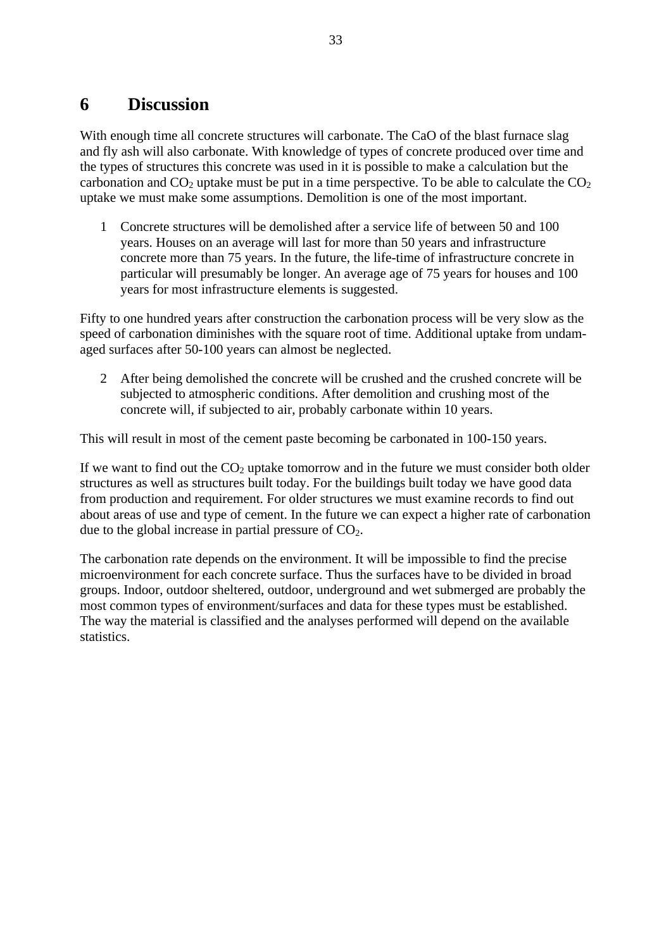## <span id="page-33-0"></span>**6 Discussion**

With enough time all concrete structures will carbonate. The CaO of the blast furnace slag and fly ash will also carbonate. With knowledge of types of concrete produced over time and the types of structures this concrete was used in it is possible to make a calculation but the carbonation and  $CO<sub>2</sub>$  uptake must be put in a time perspective. To be able to calculate the  $CO<sub>2</sub>$ uptake we must make some assumptions. Demolition is one of the most important.

1 Concrete structures will be demolished after a service life of between 50 and 100 years. Houses on an average will last for more than 50 years and infrastructure concrete more than 75 years. In the future, the life-time of infrastructure concrete in particular will presumably be longer. An average age of 75 years for houses and 100 years for most infrastructure elements is suggested.

Fifty to one hundred years after construction the carbonation process will be very slow as the speed of carbonation diminishes with the square root of time. Additional uptake from undamaged surfaces after 50-100 years can almost be neglected.

2 After being demolished the concrete will be crushed and the crushed concrete will be subjected to atmospheric conditions. After demolition and crushing most of the concrete will, if subjected to air, probably carbonate within 10 years.

This will result in most of the cement paste becoming be carbonated in 100-150 years.

If we want to find out the  $CO<sub>2</sub>$  uptake tomorrow and in the future we must consider both older structures as well as structures built today. For the buildings built today we have good data from production and requirement. For older structures we must examine records to find out about areas of use and type of cement. In the future we can expect a higher rate of carbonation due to the global increase in partial pressure of  $CO<sub>2</sub>$ .

The carbonation rate depends on the environment. It will be impossible to find the precise microenvironment for each concrete surface. Thus the surfaces have to be divided in broad groups. Indoor, outdoor sheltered, outdoor, underground and wet submerged are probably the most common types of environment/surfaces and data for these types must be established. The way the material is classified and the analyses performed will depend on the available statistics.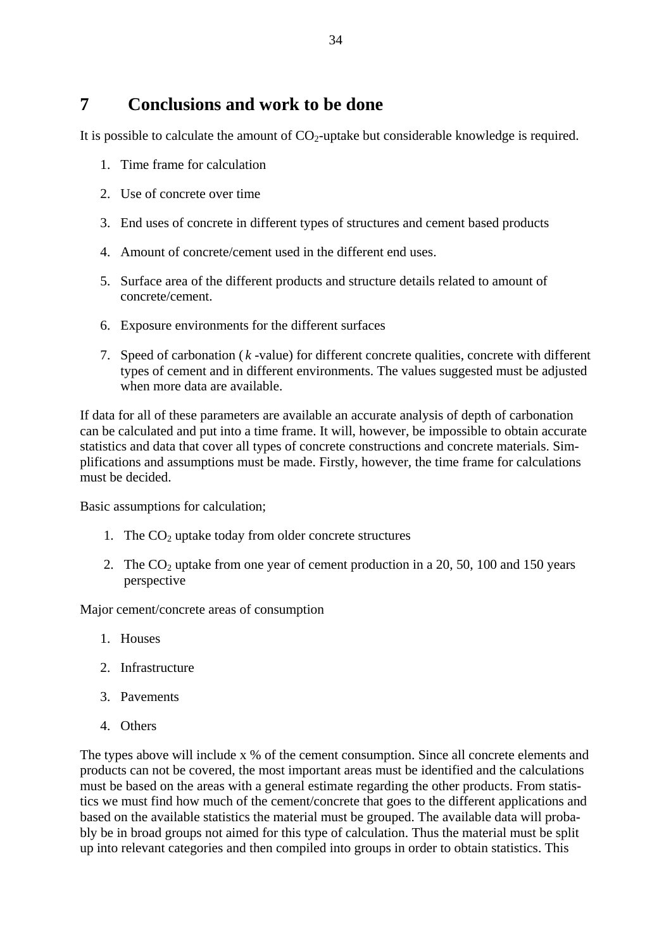<span id="page-34-0"></span>It is possible to calculate the amount of  $CO<sub>2</sub>$ -uptake but considerable knowledge is required.

- 1. Time frame for calculation
- 2. Use of concrete over time
- 3. End uses of concrete in different types of structures and cement based products
- 4. Amount of concrete/cement used in the different end uses.
- 5. Surface area of the different products and structure details related to amount of concrete/cement.
- 6. Exposure environments for the different surfaces
- 7. Speed of carbonation  $(k value)$  for different concrete qualities, concrete with different types of cement and in different environments. The values suggested must be adjusted when more data are available.

If data for all of these parameters are available an accurate analysis of depth of carbonation can be calculated and put into a time frame. It will, however, be impossible to obtain accurate statistics and data that cover all types of concrete constructions and concrete materials. Simplifications and assumptions must be made. Firstly, however, the time frame for calculations must be decided.

Basic assumptions for calculation;

- 1. The  $CO<sub>2</sub>$  uptake today from older concrete structures
- 2. The  $CO<sub>2</sub>$  uptake from one year of cement production in a 20, 50, 100 and 150 years perspective

Major cement/concrete areas of consumption

- 1. Houses
- 2. Infrastructure
- 3. Pavements
- 4. Others

The types above will include x % of the cement consumption. Since all concrete elements and products can not be covered, the most important areas must be identified and the calculations must be based on the areas with a general estimate regarding the other products. From statistics we must find how much of the cement/concrete that goes to the different applications and based on the available statistics the material must be grouped. The available data will probably be in broad groups not aimed for this type of calculation. Thus the material must be split up into relevant categories and then compiled into groups in order to obtain statistics. This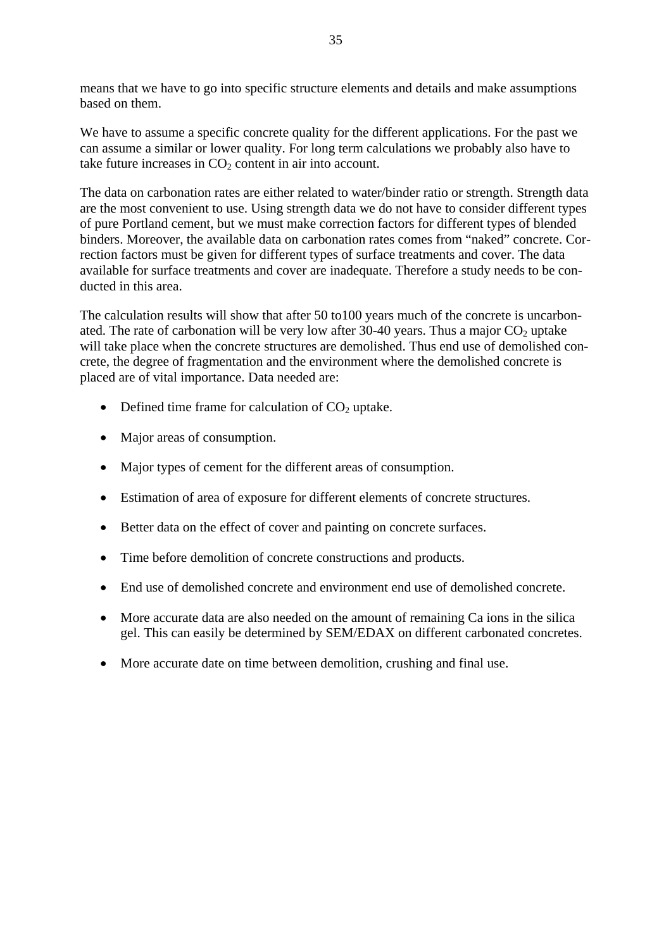means that we have to go into specific structure elements and details and make assumptions based on them.

We have to assume a specific concrete quality for the different applications. For the past we can assume a similar or lower quality. For long term calculations we probably also have to take future increases in  $CO<sub>2</sub>$  content in air into account.

The data on carbonation rates are either related to water/binder ratio or strength. Strength data are the most convenient to use. Using strength data we do not have to consider different types of pure Portland cement, but we must make correction factors for different types of blended binders. Moreover, the available data on carbonation rates comes from "naked" concrete. Correction factors must be given for different types of surface treatments and cover. The data available for surface treatments and cover are inadequate. Therefore a study needs to be conducted in this area.

The calculation results will show that after 50 to100 years much of the concrete is uncarbonated. The rate of carbonation will be very low after 30-40 years. Thus a major  $CO<sub>2</sub>$  uptake will take place when the concrete structures are demolished. Thus end use of demolished concrete, the degree of fragmentation and the environment where the demolished concrete is placed are of vital importance. Data needed are:

- Defined time frame for calculation of  $CO<sub>2</sub>$  uptake.
- Major areas of consumption.
- Major types of cement for the different areas of consumption.
- Estimation of area of exposure for different elements of concrete structures.
- Better data on the effect of cover and painting on concrete surfaces.
- Time before demolition of concrete constructions and products.
- End use of demolished concrete and environment end use of demolished concrete.
- More accurate data are also needed on the amount of remaining Ca ions in the silica gel. This can easily be determined by SEM/EDAX on different carbonated concretes.
- More accurate date on time between demolition, crushing and final use.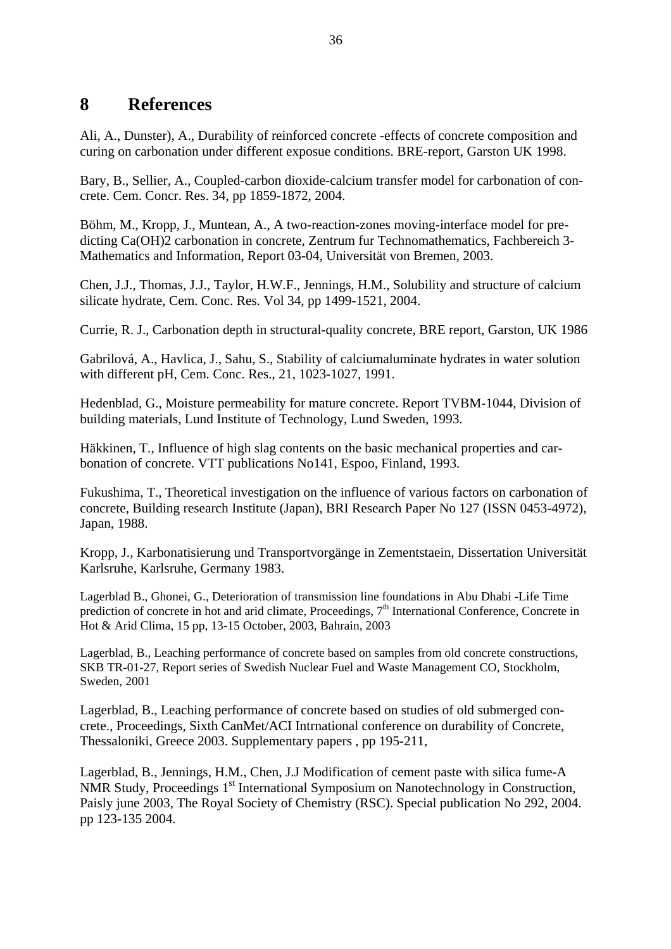### <span id="page-36-0"></span>**8 References**

Ali, A., Dunster), A., Durability of reinforced concrete -effects of concrete composition and curing on carbonation under different exposue conditions. BRE-report, Garston UK 1998.

Bary, B., Sellier, A., Coupled-carbon dioxide-calcium transfer model for carbonation of concrete. Cem. Concr. Res. 34, pp 1859-1872, 2004.

Böhm, M., Kropp, J., Muntean, A., A two-reaction-zones moving-interface model for predicting Ca(OH)2 carbonation in concrete, Zentrum fur Technomathematics, Fachbereich 3- Mathematics and Information, Report 03-04, Universität von Bremen, 2003.

Chen, J.J., Thomas, J.J., Taylor, H.W.F., Jennings, H.M., Solubility and structure of calcium silicate hydrate, Cem. Conc. Res. Vol 34, pp 1499-1521, 2004.

Currie, R. J., Carbonation depth in structural-quality concrete, BRE report, Garston, UK 1986

Gabrilová, A., Havlica, J., Sahu, S., Stability of calciumaluminate hydrates in water solution with different pH, Cem. Conc. Res., 21, 1023-1027, 1991.

Hedenblad, G., Moisture permeability for mature concrete. Report TVBM-1044, Division of building materials, Lund Institute of Technology, Lund Sweden, 1993.

Häkkinen, T., Influence of high slag contents on the basic mechanical properties and carbonation of concrete. VTT publications No141, Espoo, Finland, 1993.

Fukushima, T., Theoretical investigation on the influence of various factors on carbonation of concrete, Building research Institute (Japan), BRI Research Paper No 127 (ISSN 0453-4972), Japan, 1988.

Kropp, J., Karbonatisierung und Transportvorgänge in Zementstaein, Dissertation Universität Karlsruhe, Karlsruhe, Germany 1983.

Lagerblad B., Ghonei, G., Deterioration of transmission line foundations in Abu Dhabi -Life Time prediction of concrete in hot and arid climate, Proceedings, 7<sup>th</sup> International Conference, Concrete in Hot & Arid Clima, 15 pp, 13-15 October, 2003, Bahrain, 2003

Lagerblad, B., Leaching performance of concrete based on samples from old concrete constructions, SKB TR-01-27, Report series of Swedish Nuclear Fuel and Waste Management CO, Stockholm, Sweden, 2001

Lagerblad, B., Leaching performance of concrete based on studies of old submerged concrete., Proceedings, Sixth CanMet/ACI Intrnational conference on durability of Concrete, Thessaloniki, Greece 2003. Supplementary papers , pp 195-211,

Lagerblad, B., Jennings, H.M., Chen, J.J Modification of cement paste with silica fume-A NMR Study, Proceedings 1<sup>st</sup> International Symposium on Nanotechnology in Construction, Paisly june 2003, The Royal Society of Chemistry (RSC). Special publication No 292, 2004. pp 123-135 2004.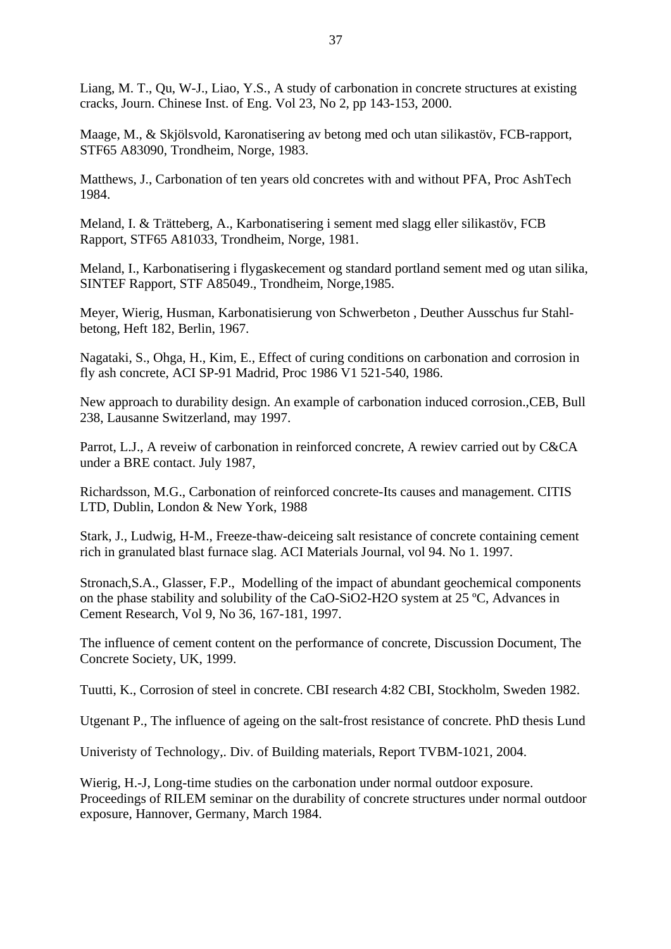Liang, M. T., Qu, W-J., Liao, Y.S., A study of carbonation in concrete structures at existing cracks, Journ. Chinese Inst. of Eng. Vol 23, No 2, pp 143-153, 2000.

Maage, M., & Skjölsvold, Karonatisering av betong med och utan silikastöv, FCB-rapport, STF65 A83090, Trondheim, Norge, 1983.

Matthews, J., Carbonation of ten years old concretes with and without PFA, Proc AshTech 1984.

Meland, I. & Trätteberg, A., Karbonatisering i sement med slagg eller silikastöv, FCB Rapport, STF65 A81033, Trondheim, Norge, 1981.

Meland, I., Karbonatisering i flygaskecement og standard portland sement med og utan silika, SINTEF Rapport, STF A85049., Trondheim, Norge,1985.

Meyer, Wierig, Husman, Karbonatisierung von Schwerbeton , Deuther Ausschus fur Stahlbetong, Heft 182, Berlin, 1967.

Nagataki, S., Ohga, H., Kim, E., Effect of curing conditions on carbonation and corrosion in fly ash concrete, ACI SP-91 Madrid, Proc 1986 V1 521-540, 1986.

New approach to durability design. An example of carbonation induced corrosion.,CEB, Bull 238, Lausanne Switzerland, may 1997.

Parrot, L.J., A reveiw of carbonation in reinforced concrete, A rewiev carried out by C&CA under a BRE contact. July 1987,

Richardsson, M.G., Carbonation of reinforced concrete-Its causes and management. CITIS LTD, Dublin, London & New York, 1988

Stark, J., Ludwig, H-M., Freeze-thaw-deiceing salt resistance of concrete containing cement rich in granulated blast furnace slag. ACI Materials Journal, vol 94. No 1. 1997.

Stronach,S.A., Glasser, F.P., Modelling of the impact of abundant geochemical components on the phase stability and solubility of the CaO-SiO2-H2O system at 25 ºC, Advances in Cement Research, Vol 9, No 36, 167-181, 1997.

The influence of cement content on the performance of concrete, Discussion Document, The Concrete Society, UK, 1999.

Tuutti, K., Corrosion of steel in concrete. CBI research 4:82 CBI, Stockholm, Sweden 1982.

Utgenant P., The influence of ageing on the salt-frost resistance of concrete. PhD thesis Lund

Univeristy of Technology,. Div. of Building materials, Report TVBM-1021, 2004.

Wierig, H.-J, Long-time studies on the carbonation under normal outdoor exposure. Proceedings of RILEM seminar on the durability of concrete structures under normal outdoor exposure, Hannover, Germany, March 1984.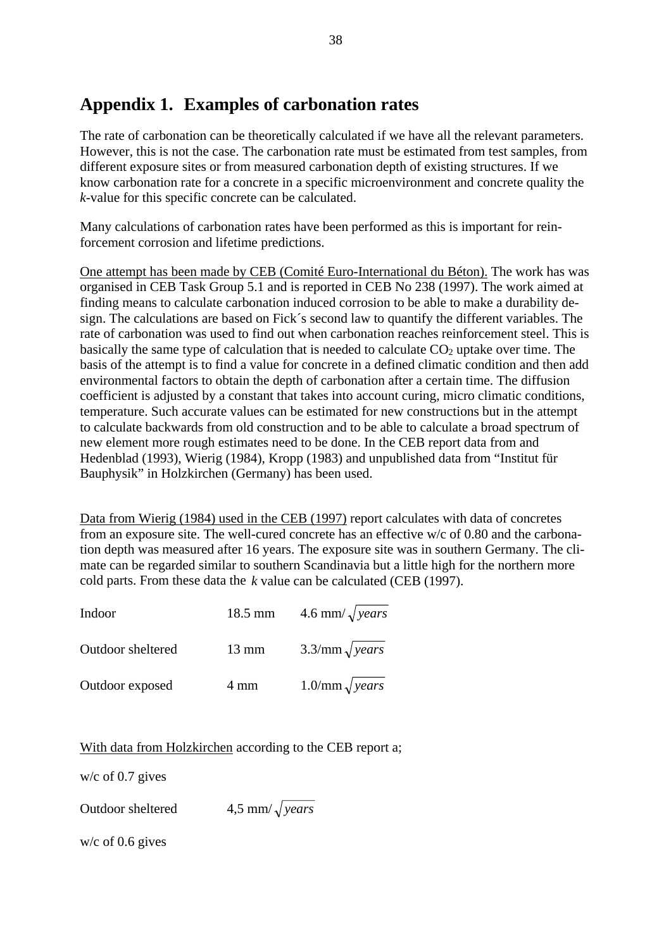# <span id="page-38-0"></span>**Appendix 1. Examples of carbonation rates**

The rate of carbonation can be theoretically calculated if we have all the relevant parameters. However, this is not the case. The carbonation rate must be estimated from test samples, from different exposure sites or from measured carbonation depth of existing structures. If we know carbonation rate for a concrete in a specific microenvironment and concrete quality the *k*-value for this specific concrete can be calculated.

Many calculations of carbonation rates have been performed as this is important for reinforcement corrosion and lifetime predictions.

One attempt has been made by CEB (Comité Euro-International du Béton). The work has was organised in CEB Task Group 5.1 and is reported in CEB No 238 (1997). The work aimed at finding means to calculate carbonation induced corrosion to be able to make a durability design. The calculations are based on Fick´s second law to quantify the different variables. The rate of carbonation was used to find out when carbonation reaches reinforcement steel. This is basically the same type of calculation that is needed to calculate  $CO<sub>2</sub>$  uptake over time. The basis of the attempt is to find a value for concrete in a defined climatic condition and then add environmental factors to obtain the depth of carbonation after a certain time. The diffusion coefficient is adjusted by a constant that takes into account curing, micro climatic conditions, temperature. Such accurate values can be estimated for new constructions but in the attempt to calculate backwards from old construction and to be able to calculate a broad spectrum of new element more rough estimates need to be done. In the CEB report data from and Hedenblad (1993), Wierig (1984), Kropp (1983) and unpublished data from "Institut für Bauphysik" in Holzkirchen (Germany) has been used.

Data from Wierig (1984) used in the CEB (1997) report calculates with data of concretes from an exposure site. The well-cured concrete has an effective w/c of 0.80 and the carbonation depth was measured after 16 years. The exposure site was in southern Germany. The climate can be regarded similar to southern Scandinavia but a little high for the northern more cold parts. From these data the *k* value can be calculated (CEB (1997).

| Indoor            | 18.5 mm         | 4.6 mm/ $\sqrt{years}$              |
|-------------------|-----------------|-------------------------------------|
| Outdoor sheltered | $13 \text{ mm}$ | $3.3/\text{mm} \sqrt{\text{years}}$ |
| Outdoor exposed   | 4 mm            | $1.0$ /mm $\sqrt{years}$            |

With data from Holzkirchen according to the CEB report a;

w/c of 0.7 gives

Outdoor sheltered 4,5 mm/ *years*

w/c of 0.6 gives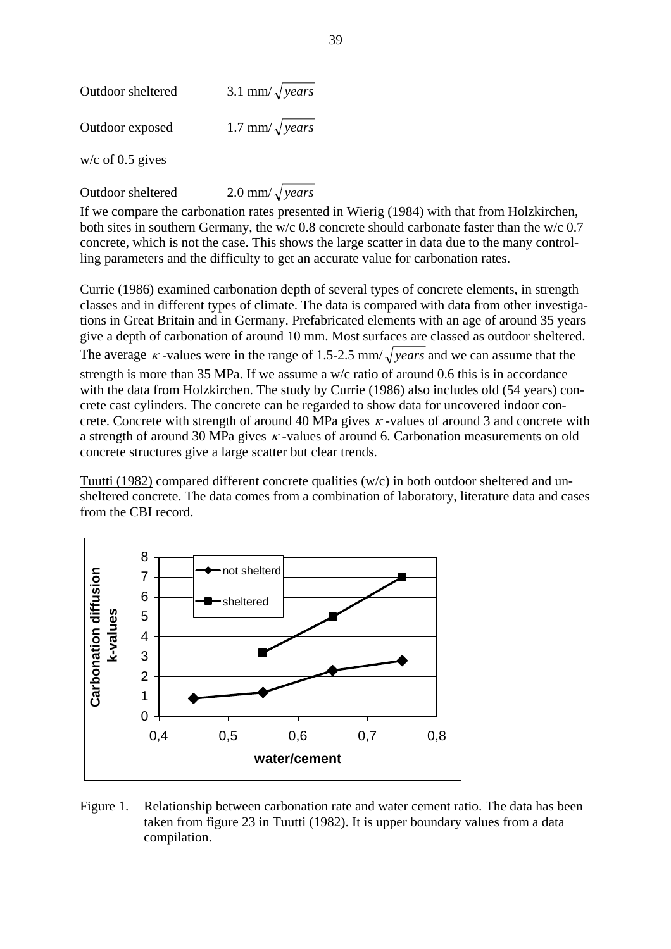| Outdoor sheltered  | 3.1 mm/ $\sqrt{years}$ |
|--------------------|------------------------|
| Outdoor exposed    | 1.7 mm/ $\sqrt{years}$ |
| $w/c$ of 0.5 gives |                        |

Outdoor sheltered 2.0 mm/ $\sqrt{years}$ 

If we compare the carbonation rates presented in Wierig (1984) with that from Holzkirchen, both sites in southern Germany, the w/c 0.8 concrete should carbonate faster than the w/c 0.7 concrete, which is not the case. This shows the large scatter in data due to the many controlling parameters and the difficulty to get an accurate value for carbonation rates.

Currie (1986) examined carbonation depth of several types of concrete elements, in strength classes and in different types of climate. The data is compared with data from other investigations in Great Britain and in Germany. Prefabricated elements with an age of around 35 years give a depth of carbonation of around 10 mm. Most surfaces are classed as outdoor sheltered. The average  $\kappa$ -values were in the range of 1.5-2.5 mm/ $\sqrt{years}$  and we can assume that the strength is more than 35 MPa. If we assume a w/c ratio of around 0.6 this is in accordance with the data from Holzkirchen. The study by Currie (1986) also includes old (54 years) concrete cast cylinders. The concrete can be regarded to show data for uncovered indoor concrete. Concrete with strength of around 40 MPa gives  $\kappa$ -values of around 3 and concrete with a strength of around 30 MPa gives  $\kappa$ -values of around 6. Carbonation measurements on old concrete structures give a large scatter but clear trends.

Tuutti (1982) compared different concrete qualities (w/c) in both outdoor sheltered and unsheltered concrete. The data comes from a combination of laboratory, literature data and cases from the CBI record.



Figure 1. Relationship between carbonation rate and water cement ratio. The data has been taken from figure 23 in Tuutti (1982). It is upper boundary values from a data compilation.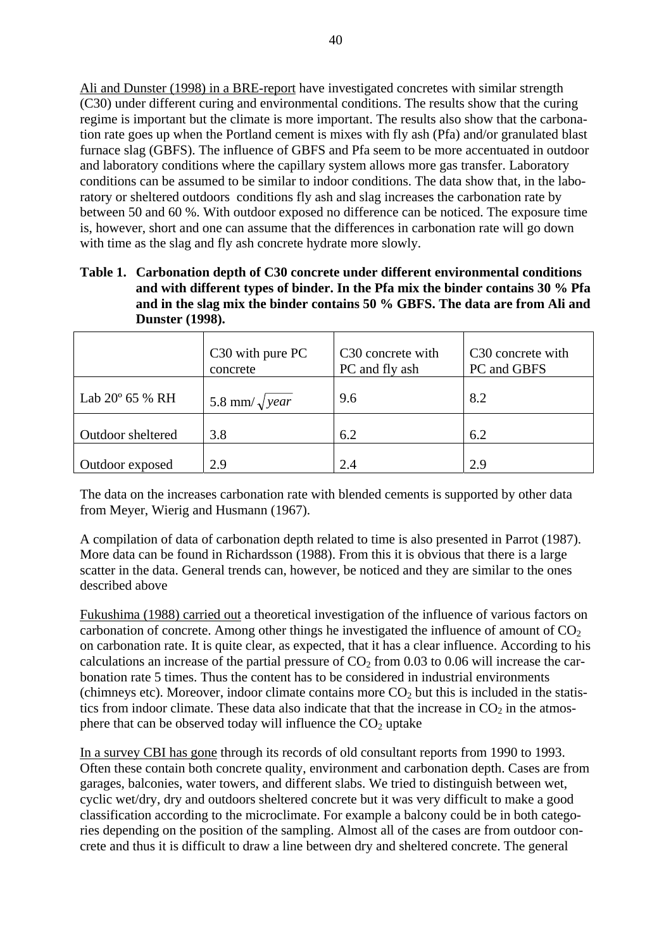Ali and Dunster (1998) in a BRE-report have investigated concretes with similar strength (C30) under different curing and environmental conditions. The results show that the curing regime is important but the climate is more important. The results also show that the carbonation rate goes up when the Portland cement is mixes with fly ash (Pfa) and/or granulated blast furnace slag (GBFS). The influence of GBFS and Pfa seem to be more accentuated in outdoor and laboratory conditions where the capillary system allows more gas transfer. Laboratory conditions can be assumed to be similar to indoor conditions. The data show that, in the laboratory or sheltered outdoors conditions fly ash and slag increases the carbonation rate by between 50 and 60 %. With outdoor exposed no difference can be noticed. The exposure time is, however, short and one can assume that the differences in carbonation rate will go down with time as the slag and fly ash concrete hydrate more slowly.

**Table 1. Carbonation depth of C30 concrete under different environmental conditions and with different types of binder. In the Pfa mix the binder contains 30 % Pfa and in the slag mix the binder contains 50 % GBFS. The data are from Ali and Dunster (1998).** 

|                          | C <sub>30</sub> with pure PC<br>concrete | C <sub>30</sub> concrete with<br>PC and fly ash | C <sub>30</sub> concrete with<br>PC and GBFS |
|--------------------------|------------------------------------------|-------------------------------------------------|----------------------------------------------|
| Lab $20^{\circ}$ 65 % RH | 5.8 mm/ $\sqrt{year}$                    | 9.6                                             | 8.2                                          |
| Outdoor sheltered        | 3.8                                      | 6.2                                             | 6.2                                          |
| Outdoor exposed          | 2.9                                      | 2.4                                             | 2.9                                          |

The data on the increases carbonation rate with blended cements is supported by other data from Meyer, Wierig and Husmann (1967).

A compilation of data of carbonation depth related to time is also presented in Parrot (1987). More data can be found in Richardsson (1988). From this it is obvious that there is a large scatter in the data. General trends can, however, be noticed and they are similar to the ones described above

Fukushima (1988) carried out a theoretical investigation of the influence of various factors on carbonation of concrete. Among other things he investigated the influence of amount of  $CO<sub>2</sub>$ on carbonation rate. It is quite clear, as expected, that it has a clear influence. According to his calculations an increase of the partial pressure of  $CO<sub>2</sub>$  from 0.03 to 0.06 will increase the carbonation rate 5 times. Thus the content has to be considered in industrial environments (chimneys etc). Moreover, indoor climate contains more  $CO<sub>2</sub>$  but this is included in the statistics from indoor climate. These data also indicate that that the increase in  $CO<sub>2</sub>$  in the atmosphere that can be observed today will influence the  $CO<sub>2</sub>$  uptake

In a survey CBI has gone through its records of old consultant reports from 1990 to 1993. Often these contain both concrete quality, environment and carbonation depth. Cases are from garages, balconies, water towers, and different slabs. We tried to distinguish between wet, cyclic wet/dry, dry and outdoors sheltered concrete but it was very difficult to make a good classification according to the microclimate. For example a balcony could be in both categories depending on the position of the sampling. Almost all of the cases are from outdoor concrete and thus it is difficult to draw a line between dry and sheltered concrete. The general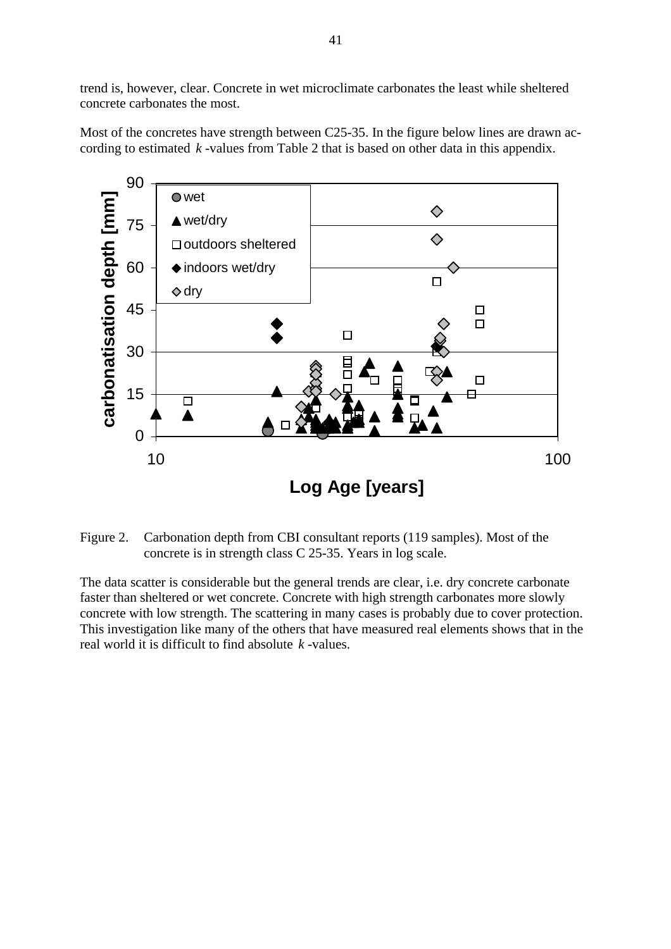trend is, however, clear. Concrete in wet microclimate carbonates the least while sheltered concrete carbonates the most.

Most of the concretes have strength between C25-35. In the figure below lines are drawn according to estimated *k* -values from Table 2 that is based on other data in this appendix.



Figure 2. Carbonation depth from CBI consultant reports (119 samples). Most of the concrete is in strength class C 25-35. Years in log scale.

The data scatter is considerable but the general trends are clear, i.e. dry concrete carbonate concrete with low strength. The scattering in many cases is probably due to cover protection. faster than sheltered or wet concrete. Concrete with high strength carbonates more slowly This investigation like many of the others that have measured real elements shows that in the real world it is difficult to find absolute *k* -values.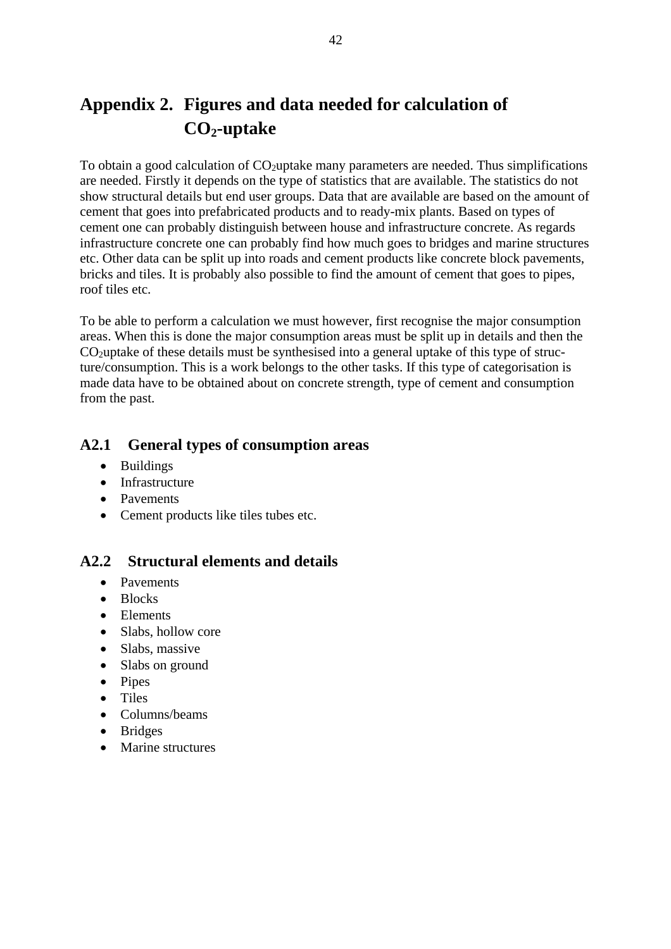# <span id="page-42-0"></span>**Appendix 2. Figures and data needed for calculation of**  CO<sub>2</sub>-uptake

To obtain a good calculation of  $CO<sub>2</sub>$ uptake many parameters are needed. Thus simplifications are needed. Firstly it depends on the type of statistics that are available. The statistics do not show structural details but end user groups. Data that are available are based on the amount of cement that goes into prefabricated products and to ready-mix plants. Based on types of cement one can probably distinguish between house and infrastructure concrete. As regards infrastructure concrete one can probably find how much goes to bridges and marine structures etc. Other data can be split up into roads and cement products like concrete block pavements, bricks and tiles. It is probably also possible to find the amount of cement that goes to pipes, roof tiles etc.

To be able to perform a calculation we must however, first recognise the major consumption areas. When this is done the major consumption areas must be split up in details and then the  $CO<sub>2</sub>$ uptake of these details must be synthesised into a general uptake of this type of structure/consumption. This is a work belongs to the other tasks. If this type of categorisation is made data have to be obtained about on concrete strength, type of cement and consumption from the past.

### **A2.1 General types of consumption areas**

- Buildings
- Infrastructure
- Pavements
- Cement products like tiles tubes etc.

### **A2.2 Structural elements and details**

- Pavements
- Blocks
- Elements
- Slabs, hollow core
- Slabs, massive
- Slabs on ground
- Pipes
- Tiles
- Columns/beams
- Bridges
- Marine structures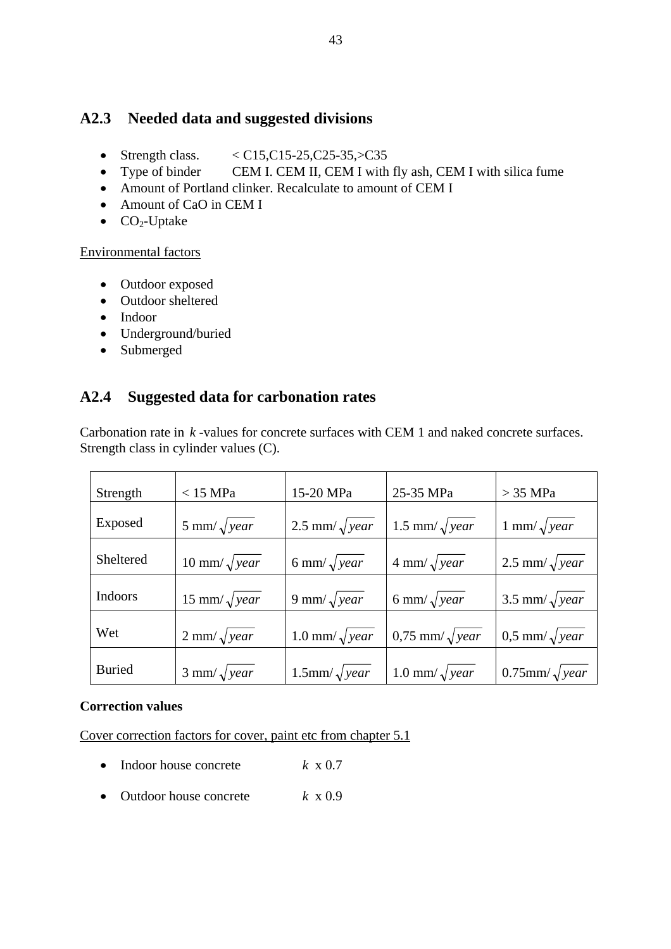### <span id="page-43-0"></span>**A2.3 Needed data and suggested divisions**

- Strength class.  $\langle \text{C15}, \text{C15-25}, \text{C25-35}, \text{C35} \rangle$
- Type of binder CEM I. CEM II, CEM I with fly ash, CEM I with silica fume
- Amount of Portland clinker. Recalculate to amount of CEM I
- Amount of CaO in CEM I
- $\bullet$  CO<sub>2</sub>-Uptake

#### Environmental factors

- Outdoor exposed
- Outdoor sheltered
- Indoor
- Underground/buried
- Submerged

### **A2.4 Suggested data for carbonation rates**

| Carbonation rate in $k$ -values for concrete surfaces with CEM 1 and naked concrete surfaces. |  |
|-----------------------------------------------------------------------------------------------|--|
| Strength class in cylinder values (C).                                                        |  |

| Strength       | $<15$ MPa $\,$             | 15-20 MPa               | 25-35 MPa                  | $>$ 35 MPa               |
|----------------|----------------------------|-------------------------|----------------------------|--------------------------|
| Exposed        | 5 mm/ $\sqrt{year}$        | 2.5 mm/ $\sqrt{year}$   | 1.5 mm/ $\sqrt{year}$      | 1 mm/ $\sqrt{year}$      |
| Sheltered      | 10 mm/ $\sqrt{year}$       | 6 mm/ $\sqrt{year}$     | $4 \text{ mm}/\sqrt{year}$ | 2.5 mm/ $\sqrt{year}$    |
| <b>Indoors</b> | 15 mm/ $\sqrt{year}$       | 9 mm/ $\sqrt{year}$     | 6 mm/ $\sqrt{year}$        | 3.5 mm/ $\sqrt{year}$    |
| Wet            | $2 \text{ mm}/\sqrt{year}$ | 1.0 mm/ $\sqrt{year}$   | $0.75$ mm/ $\sqrt{year}$   | $0.5$ mm/ $\sqrt{year}$  |
| <b>Buried</b>  | $3 \text{ mm}/\sqrt{year}$ | $1.5$ mm/ $\sqrt{year}$ | 1.0 mm/ $\sqrt{year}$      | $0.75$ mm/ $\sqrt{year}$ |

#### **Correction values**

Cover correction factors for cover, paint etc from chapter 5.1

- Indoor house concrete  $k \times 0.7$
- Outdoor house concrete *k* x 0.9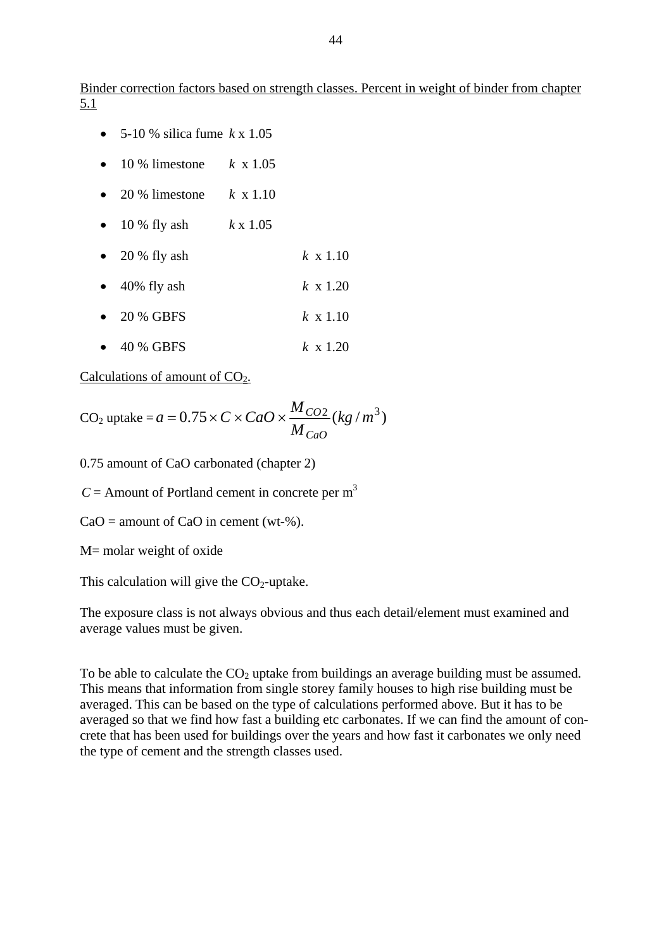Binder correction factors based on strength classes. Percent in weight of binder from chapter 5.1

- 5-10 % silica fume *k* x 1.05
- 10 % limestone *k* x 1.05
- 20 % limestone  $k \times 1.10$
- 10 % fly ash *k* x 1.05
- 20 % fly ash *k* x 1.10
- 40% fly ash *k* x 1.20
- 20 % GBFS *k* x 1.10
- 40 % GBFS *k* x 1.20

Calculations of amount of  $CO<sub>2</sub>$ .

$$
CO2 uptake = a = 0.75 \times C \times CaO \times \frac{M_{CO2}}{M_{CaO}}(kg/m^3)
$$

0.75 amount of CaO carbonated (chapter 2)

 $C =$  Amount of Portland cement in concrete per m<sup>3</sup>

 $CaO =$  amount of  $CaO$  in cement (wt-%).

M= molar weight of oxide

This calculation will give the  $CO<sub>2</sub>$ -uptake.

The exposure class is not always obvious and thus each detail/element must examined and average values must be given.

To be able to calculate the  $CO<sub>2</sub>$  uptake from buildings an average building must be assumed. This means that information from single storey family houses to high rise building must be averaged. This can be based on the type of calculations performed above. But it has to be averaged so that we find how fast a building etc carbonates. If we can find the amount of concrete that has been used for buildings over the years and how fast it carbonates we only need the type of cement and the strength classes used.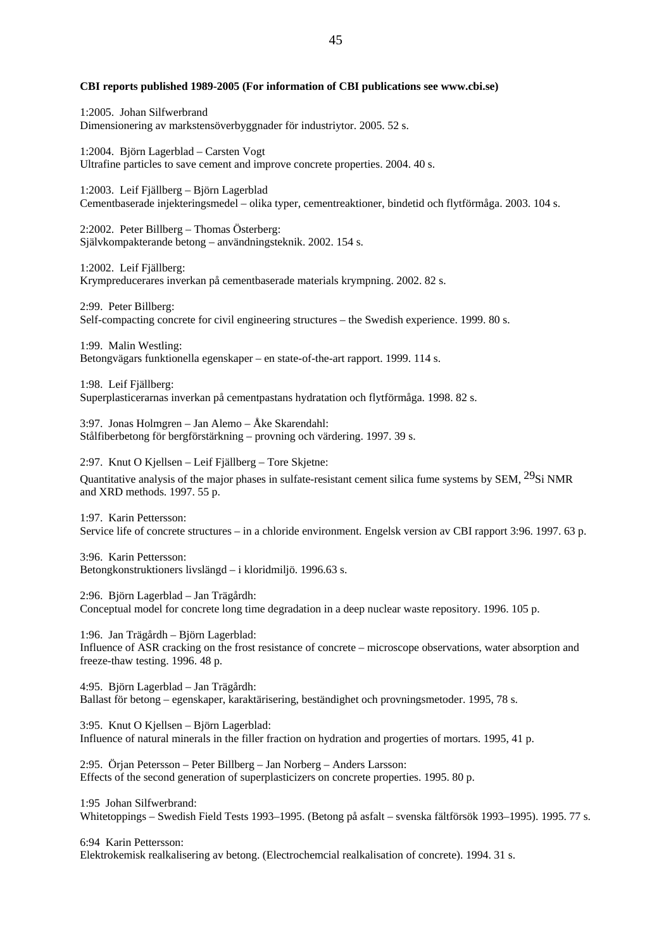#### **CBI reports published 1989-2005 (For information of CBI publications see www.cbi.se)**

1:2005. Johan Silfwerbrand Dimensionering av markstensöverbyggnader för industriytor. 2005. 52 s.

1:2004. Björn Lagerblad – Carsten Vogt Ultrafine particles to save cement and improve concrete properties. 2004. 40 s.

1:2003. Leif Fjällberg – Björn Lagerblad Cementbaserade injekteringsmedel – olika typer, cementreaktioner, bindetid och flytförmåga. 2003. 104 s.

2:2002. Peter Billberg – Thomas Österberg: Självkompakterande betong – användningsteknik. 2002. 154 s.

1:2002. Leif Fjällberg: Krympreducerares inverkan på cementbaserade materials krympning. 2002. 82 s.

2:99. Peter Billberg: Self-compacting concrete for civil engineering structures – the Swedish experience. 1999. 80 s.

1:99. Malin Westling: Betongvägars funktionella egenskaper – en state-of-the-art rapport. 1999. 114 s.

1:98. Leif Fjällberg: Superplasticerarnas inverkan på cementpastans hydratation och flytförmåga. 1998. 82 s.

3:97. Jonas Holmgren – Jan Alemo – Åke Skarendahl: Stålfiberbetong för bergförstärkning – provning och värdering. 1997. 39 s.

2:97. Knut O Kjellsen – Leif Fjällberg – Tore Skjetne:

Quantitative analysis of the major phases in sulfate-resistant cement silica fume systems by SEM, <sup>29</sup>Si NMR and XRD methods. 1997. 55 p.

1:97. Karin Pettersson: Service life of concrete structures – in a chloride environment. Engelsk version av CBI rapport 3:96. 1997. 63 p.

3:96. Karin Pettersson: Betongkonstruktioners livslängd – i kloridmiljö. 1996.63 s.

2:96. Björn Lagerblad – Jan Trägårdh: Conceptual model for concrete long time degradation in a deep nuclear waste repository. 1996. 105 p.

1:96. Jan Trägårdh – Björn Lagerblad: Influence of ASR cracking on the frost resistance of concrete – microscope observations, water absorption and freeze-thaw testing. 1996. 48 p.

4:95. Björn Lagerblad – Jan Trägårdh: Ballast för betong – egenskaper, karaktärisering, beständighet och provningsmetoder. 1995, 78 s.

3:95. Knut O Kjellsen – Björn Lagerblad: Influence of natural minerals in the filler fraction on hydration and progerties of mortars. 1995, 41 p.

2:95. Örjan Petersson – Peter Billberg – Jan Norberg – Anders Larsson: Effects of the second generation of superplasticizers on concrete properties. 1995. 80 p.

1:95 Johan Silfwerbrand:

Whitetoppings – Swedish Field Tests 1993–1995. (Betong på asfalt – svenska fältförsök 1993–1995). 1995. 77 s.

6:94 Karin Pettersson:

Elektrokemisk realkalisering av betong. (Electrochemcial realkalisation of concrete). 1994. 31 s.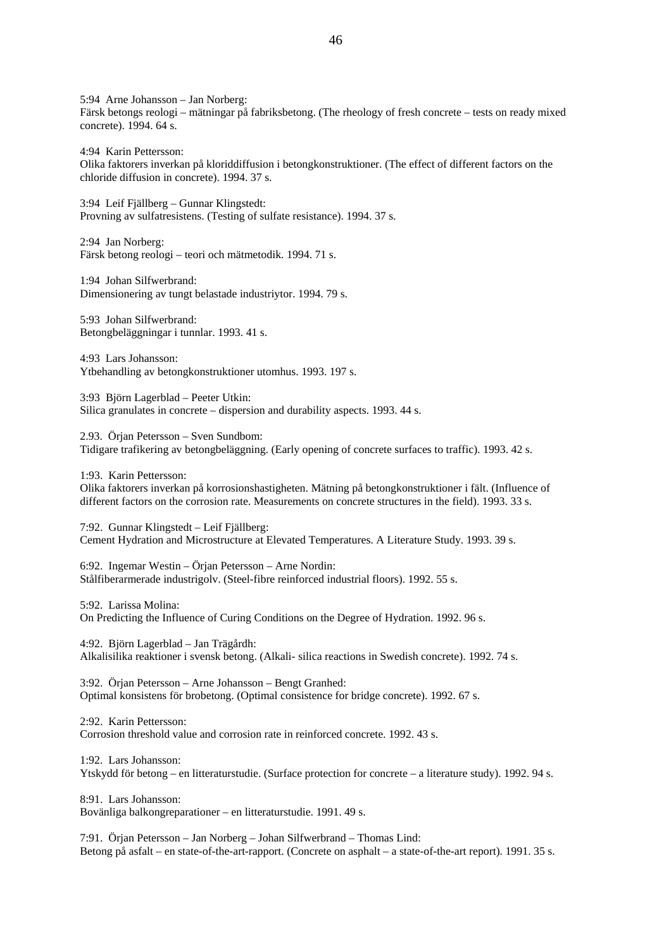5:94 Arne Johansson – Jan Norberg: Färsk betongs reologi – mätningar på fabriksbetong. (The rheology of fresh concrete – tests on ready mixed concrete). 1994. 64 s.

4:94 Karin Pettersson:

Olika faktorers inverkan på kloriddiffusion i betongkonstruktioner. (The effect of different factors on the chloride diffusion in concrete). 1994. 37 s.

3:94 Leif Fjällberg – Gunnar Klingstedt: Provning av sulfatresistens. (Testing of sulfate resistance). 1994. 37 s.

2:94 Jan Norberg: Färsk betong reologi – teori och mätmetodik. 1994. 71 s.

1:94 Johan Silfwerbrand: Dimensionering av tungt belastade industriytor. 1994. 79 s.

5:93 Johan Silfwerbrand: Betongbeläggningar i tunnlar. 1993. 41 s.

4:93 Lars Johansson: Ytbehandling av betongkonstruktioner utomhus. 1993. 197 s.

3:93 Björn Lagerblad – Peeter Utkin: Silica granulates in concrete – dispersion and durability aspects. 1993. 44 s.

2.93. Örjan Petersson – Sven Sundbom: Tidigare trafikering av betongbeläggning. (Early opening of concrete surfaces to traffic). 1993. 42 s.

1:93. Karin Pettersson:

Olika faktorers inverkan på korrosionshastigheten. Mätning på betongkonstruktioner i fält. (Influence of different factors on the corrosion rate. Measurements on concrete structures in the field). 1993. 33 s.

7:92. Gunnar Klingstedt – Leif Fjällberg: Cement Hydration and Microstructure at Elevated Temperatures. A Literature Study. 1993. 39 s.

6:92. Ingemar Westin – Örjan Petersson – Arne Nordin: Stålfiberarmerade industrigolv. (Steel-fibre reinforced industrial floors). 1992. 55 s.

5:92. Larissa Molina:

On Predicting the Influence of Curing Conditions on the Degree of Hydration. 1992. 96 s.

4:92. Björn Lagerblad – Jan Trägårdh: Alkalisilika reaktioner i svensk betong. (Alkali- silica reactions in Swedish concrete). 1992. 74 s.

3:92. Örjan Petersson – Arne Johansson – Bengt Granhed: Optimal konsistens för brobetong. (Optimal consistence for bridge concrete). 1992. 67 s.

2:92. Karin Pettersson: Corrosion threshold value and corrosion rate in reinforced concrete. 1992. 43 s.

1:92. Lars Johansson: Ytskydd för betong – en litteraturstudie. (Surface protection for concrete – a literature study). 1992. 94 s.

8:91. Lars Johansson: Bovänliga balkongreparationer – en litteraturstudie. 1991. 49 s.

7:91. Örjan Petersson – Jan Norberg – Johan Silfwerbrand – Thomas Lind: Betong på asfalt – en state-of-the-art-rapport. (Concrete on asphalt – a state-of-the-art report). 1991. 35 s.